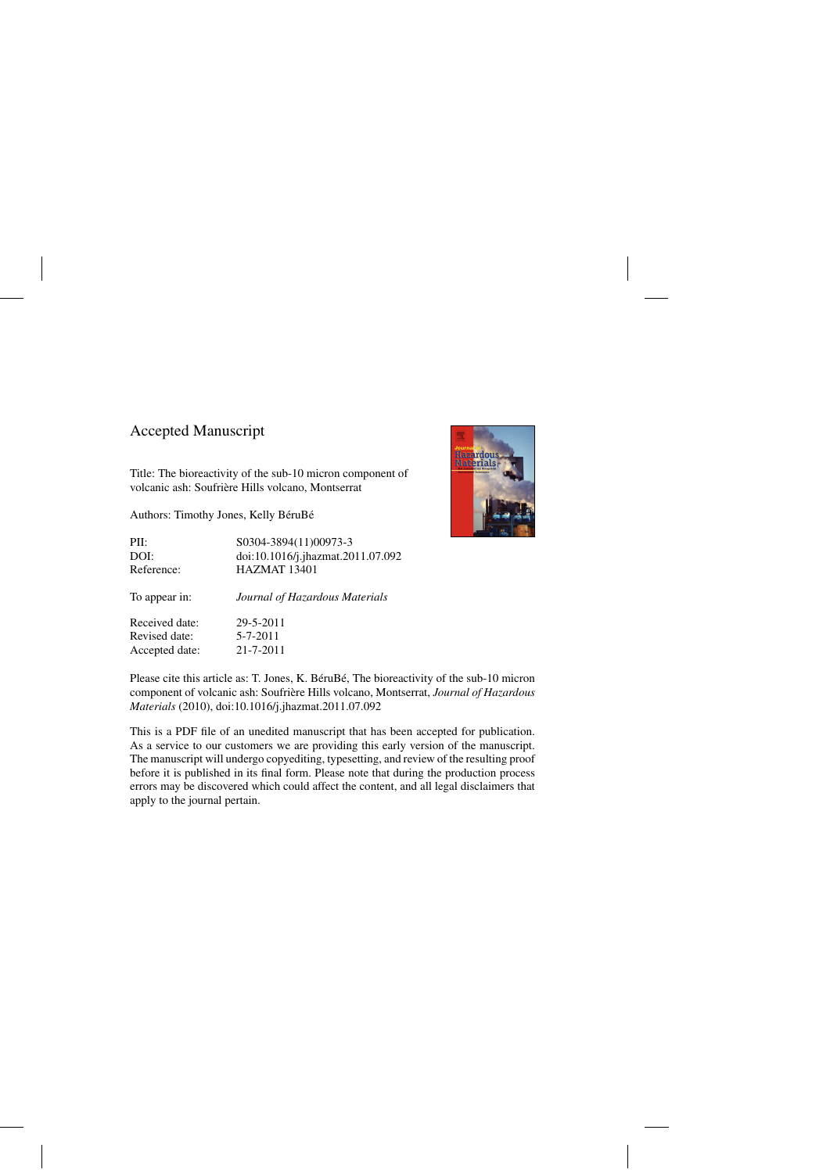## Accepted Manuscript

Title: The bioreactivity of the sub-10 micron component of volcanic ash: Soufrière Hills volcano, Montserrat

Authors: Timothy Jones, Kelly BéruBé





Please cite this article as: T. Jones, K. BéruBé, The bioreactivity of the sub-10 micron component of volcanic ash: Soufriere Hills volcano, Montserrat, ` *Journal of Hazardous Materials* (2010), doi:[10.1016/j.jhazmat.2011.07.092](dx.doi.org/10.1016/j.jhazmat.2011.07.092)

This is a PDF file of an unedited manuscript that has been accepted for publication. As a service to our customers we are providing this early version of the manuscript. The manuscript will undergo copyediting, typesetting, and review of the resulting proof before it is published in its final form. Please note that during the production process errors may be discovered which could affect the content, and all legal disclaimers that apply to the journal pertain.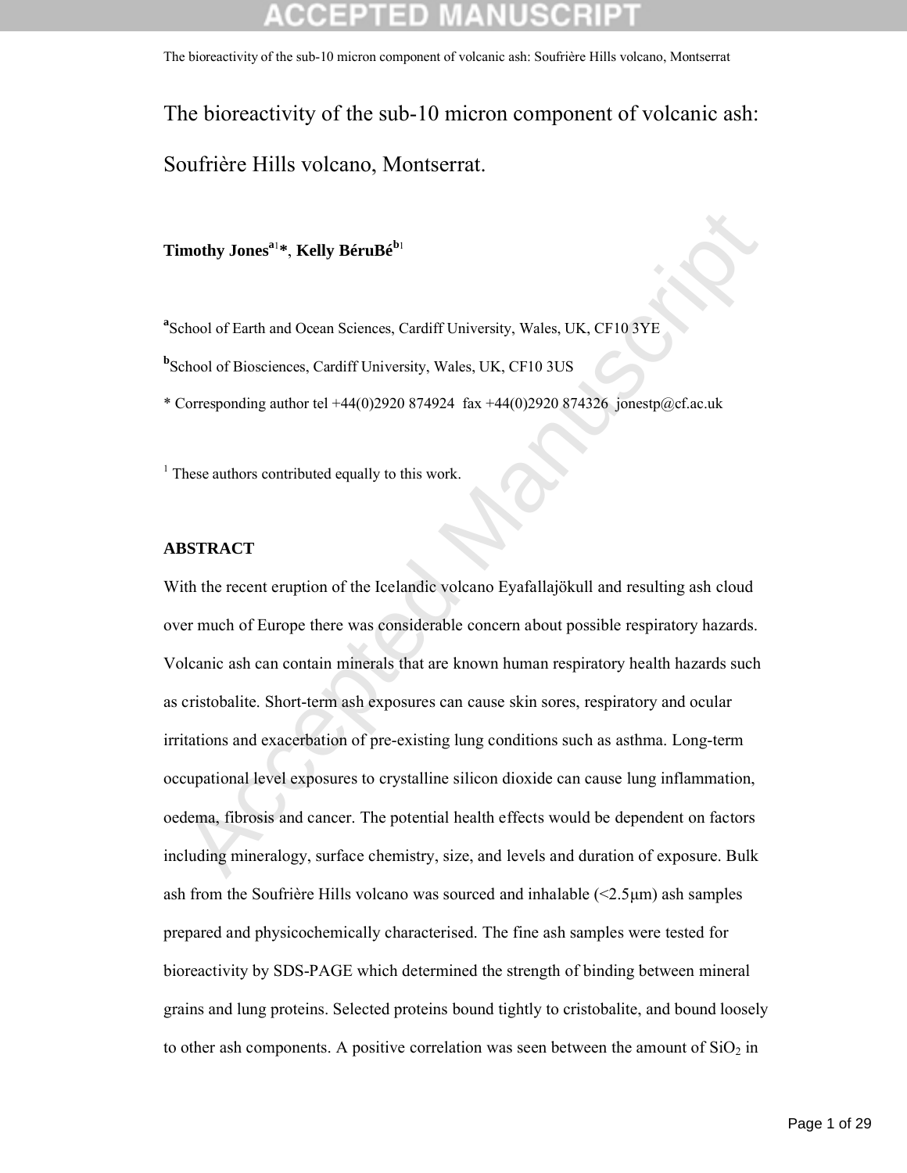The bioreactivity of the sub-10 micron component of volcanic ash: Soufrière Hills volcano, Montserrat.

**Timothy Jonesa**<sup>1</sup> **\***, **Kelly BéruBé<sup>b</sup>**<sup>1</sup>

<sup>a</sup> School of Earth and Ocean Sciences, Cardiff University, Wales, UK, CF10 3YE

**b** School of Biosciences, Cardiff University, Wales, UK, CF10 3US

\* Corresponding author tel +44(0)2920 874924 fax +44(0)2920 874326 jonestp@cf.ac.uk

<sup>1</sup> These authors contributed equally to this work.

### **ABSTRACT**

mothy Jones<sup>n1</sup>\*, Kelly BéruBé<sup>bi</sup><br>
echool of Earth and Ocean Sciences, Cardiff University, Wales, UK, CF10 3YE<br>
chool of Bioscicnces, Cardiff University, Wales, UK, CF10 3VE<br>
corresponding author tel +44(0)2920 874924 fix With the recent eruption of the Icelandic volcano Eyafallajökull and resulting ash cloud over much of Europe there was considerable concern about possible respiratory hazards. Volcanic ash can contain minerals that are known human respiratory health hazards such as cristobalite. Short-term ash exposures can cause skin sores, respiratory and ocular irritations and exacerbation of pre-existing lung conditions such as asthma. Long-term occupational level exposures to crystalline silicon dioxide can cause lung inflammation, oedema, fibrosis and cancer. The potential health effects would be dependent on factors including mineralogy, surface chemistry, size, and levels and duration of exposure. Bulk ash from the Soufrière Hills volcano was sourced and inhalable  $\langle 2.5 \mu m \rangle$  ash samples prepared and physicochemically characterised. The fine ash samples were tested for bioreactivity by SDS-PAGE which determined the strength of binding between mineral grains and lung proteins. Selected proteins bound tightly to cristobalite, and bound loosely to other ash components. A positive correlation was seen between the amount of  $SiO<sub>2</sub>$  in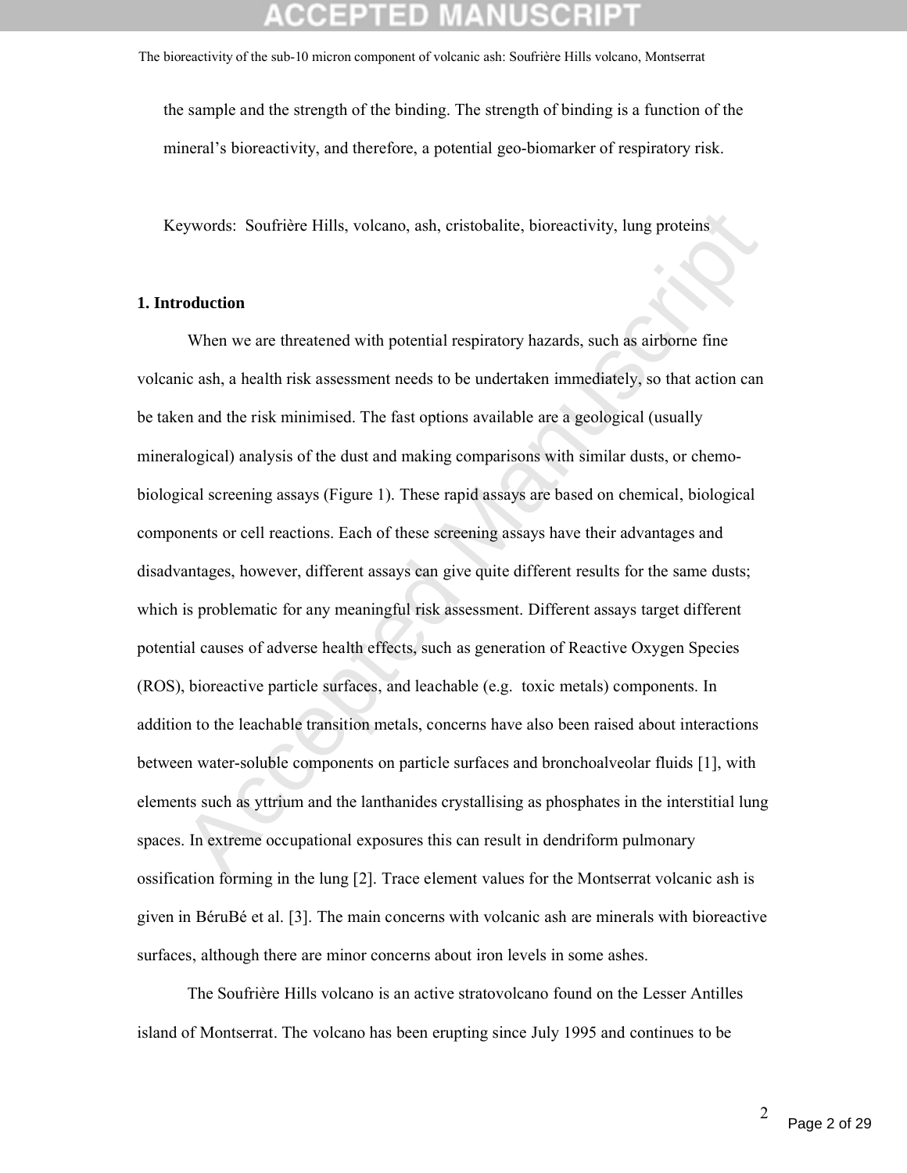the sample and the strength of the binding. The strength of binding is a function of the mineral's bioreactivity, and therefore, a potential geo-biomarker of respiratory risk.

Keywords: Soufrière Hills, volcano, ash, cristobalite, bioreactivity, lung proteins

### **1. Introduction**

by exports: Soufrière Hills, volcano, ash, cristobalite, bioreactivity, lung proteins<br> **Coduction**<br>
When we are threatened with potential respiratory hazards, such as airborne fine<br>
inc inc wh, a health risk assessment nee When we are threatened with potential respiratory hazards, such as airborne fine volcanic ash, a health risk assessment needs to be undertaken immediately, so that action can be taken and the risk minimised. The fast options available are a geological (usually mineralogical) analysis of the dust and making comparisons with similar dusts, or chemobiological screening assays (Figure 1). These rapid assays are based on chemical, biological components or cell reactions. Each of these screening assays have their advantages and disadvantages, however, different assays can give quite different results for the same dusts; which is problematic for any meaningful risk assessment. Different assays target different potential causes of adverse health effects, such as generation of Reactive Oxygen Species (ROS), bioreactive particle surfaces, and leachable (e.g. toxic metals) components. In addition to the leachable transition metals, concerns have also been raised about interactions between water-soluble components on particle surfaces and bronchoalveolar fluids [1], with elements such as yttrium and the lanthanides crystallising as phosphates in the interstitial lung spaces. In extreme occupational exposures this can result in dendriform pulmonary ossification forming in the lung [2]. Trace element values for the Montserrat volcanic ash is given in BéruBé et al. [3]. The main concerns with volcanic ash are minerals with bioreactive surfaces, although there are minor concerns about iron levels in some ashes.

The Soufrière Hills volcano is an active stratovolcano found on the Lesser Antilles island of Montserrat. The volcano has been erupting since July 1995 and continues to be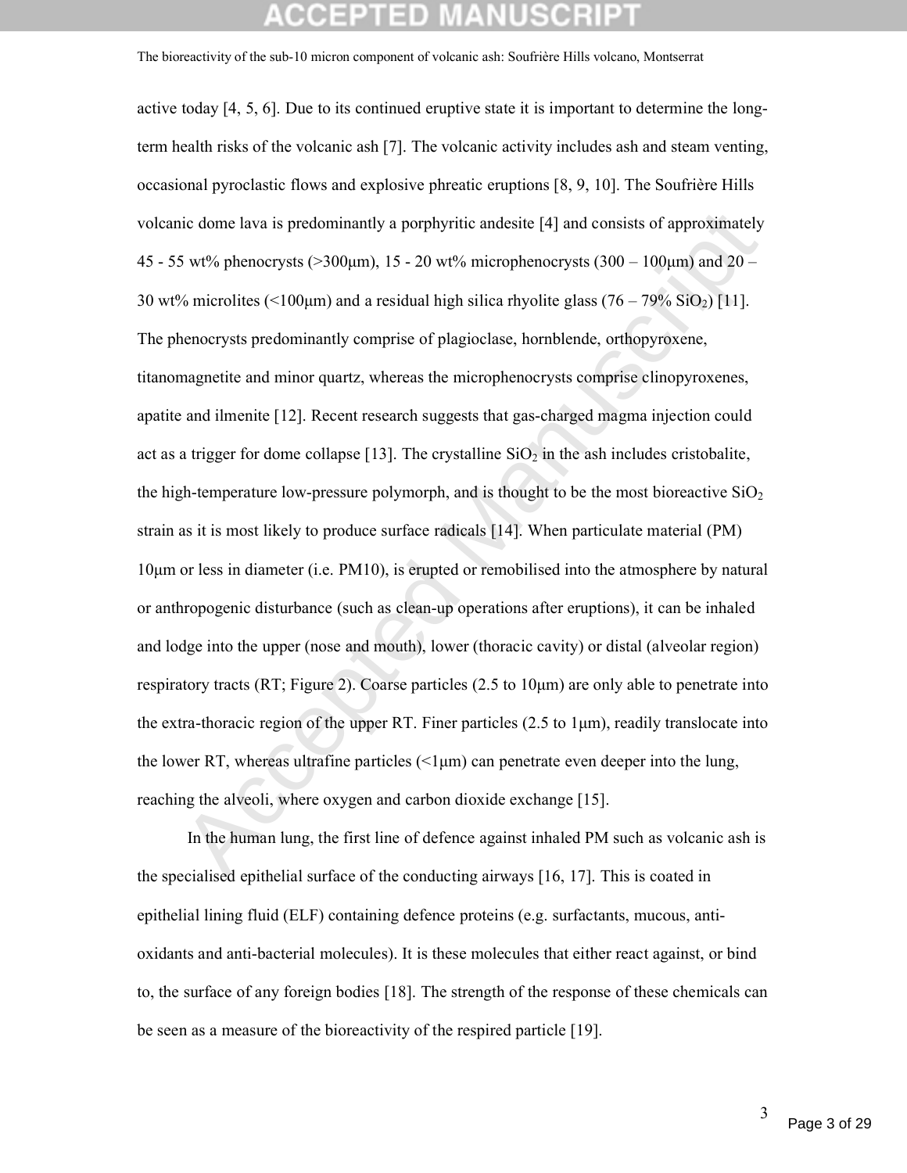lic dome lava is predominantly a porphyritic andesite [4] and consists of approximately<br>S wt% phenocrysts ( $>300 \mu m$ ), 15 - 20 wt% microphenocrysts ( $300 - 100 \mu m$ ) and  $20 - 8$  microlites ( $< 100 \mu m$ ) and a residual high s active today [4, 5, 6]. Due to its continued eruptive state it is important to determine the longterm health risks of the volcanic ash [7]. The volcanic activity includes ash and steam venting, occasional pyroclastic flows and explosive phreatic eruptions [8, 9, 10]. The Soufrière Hills volcanic dome lava is predominantly a porphyritic andesite [4] and consists of approximately 45 - 55 wt% phenocrysts (>300μm), 15 - 20 wt% microphenocrysts (300 – 100μm) and 20 – 30 wt% microlites (<100 $\mu$ m) and a residual high silica rhyolite glass (76 – 79% SiO<sub>2</sub>) [11]. The phenocrysts predominantly comprise of plagioclase, hornblende, orthopyroxene, titanomagnetite and minor quartz, whereas the microphenocrysts comprise clinopyroxenes, apatite and ilmenite [12]. Recent research suggests that gas-charged magma injection could act as a trigger for dome collapse [13]. The crystalline  $SiO<sub>2</sub>$  in the ash includes cristobalite, the high-temperature low-pressure polymorph, and is thought to be the most bioreactive  $SiO<sub>2</sub>$ strain as it is most likely to produce surface radicals [14]. When particulate material (PM) 10μm or less in diameter (i.e. PM10), is erupted or remobilised into the atmosphere by natural or anthropogenic disturbance (such as clean-up operations after eruptions), it can be inhaled and lodge into the upper (nose and mouth), lower (thoracic cavity) or distal (alveolar region) respiratory tracts (RT; Figure 2). Coarse particles (2.5 to 10μm) are only able to penetrate into the extra-thoracic region of the upper RT. Finer particles (2.5 to  $1\mu$ m), readily translocate into the lower RT, whereas ultrafine particles  $\ll 1 \mu m$  can penetrate even deeper into the lung, reaching the alveoli, where oxygen and carbon dioxide exchange [15].

In the human lung, the first line of defence against inhaled PM such as volcanic ash is the specialised epithelial surface of the conducting airways [16, 17]. This is coated in epithelial lining fluid (ELF) containing defence proteins (e.g. surfactants, mucous, antioxidants and anti-bacterial molecules). It is these molecules that either react against, or bind to, the surface of any foreign bodies [18]. The strength of the response of these chemicals can be seen as a measure of the bioreactivity of the respired particle [19].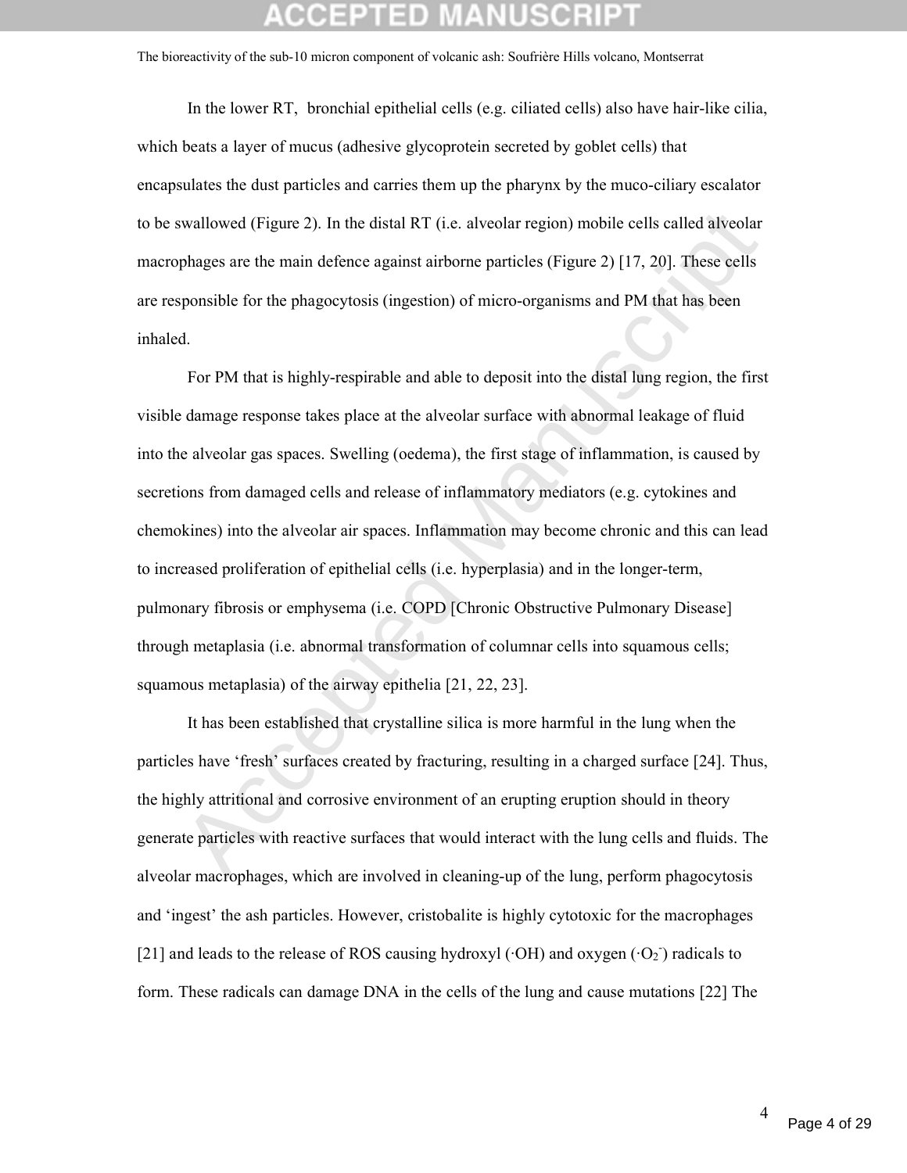In the lower RT, bronchial epithelial cells (e.g. ciliated cells) also have hair-like cilia, which beats a layer of mucus (adhesive glycoprotein secreted by goblet cells) that encapsulates the dust particles and carries them up the pharynx by the muco-ciliary escalator to be swallowed (Figure 2). In the distal RT (i.e. alveolar region) mobile cells called alveolar macrophages are the main defence against airborne particles (Figure 2) [17, 20]. These cells are responsible for the phagocytosis (ingestion) of micro-organisms and PM that has been inhaled.

wallowed (Figure 2). In the distal RT (i.e. alveolar region) mobile cells called alveolar<br>phages are the main defence against airborne particles (Figure 2) [17, 20]. These cells<br>ponsible for the phagocytosis (ingestion) of For PM that is highly-respirable and able to deposit into the distal lung region, the first visible damage response takes place at the alveolar surface with abnormal leakage of fluid into the alveolar gas spaces. Swelling (oedema), the first stage of inflammation, is caused by secretions from damaged cells and release of inflammatory mediators (e.g. cytokines and chemokines) into the alveolar air spaces. Inflammation may become chronic and this can lead to increased proliferation of epithelial cells (i.e. hyperplasia) and in the longer-term, pulmonary fibrosis or emphysema (i.e. COPD [Chronic Obstructive Pulmonary Disease] through metaplasia (i.e. abnormal transformation of columnar cells into squamous cells; squamous metaplasia) of the airway epithelia [21, 22, 23].

It has been established that crystalline silica is more harmful in the lung when the particles have 'fresh' surfaces created by fracturing, resulting in a charged surface [24]. Thus, the highly attritional and corrosive environment of an erupting eruption should in theory generate particles with reactive surfaces that would interact with the lung cells and fluids. The alveolar macrophages, which are involved in cleaning-up of the lung, perform phagocytosis and 'ingest' the ash particles. However, cristobalite is highly cytotoxic for the macrophages [21] and leads to the release of ROS causing hydroxyl ( $\cdot$ OH) and oxygen ( $\cdot$ O<sub>2</sub>) radicals to form. These radicals can damage DNA in the cells of the lung and cause mutations [22] The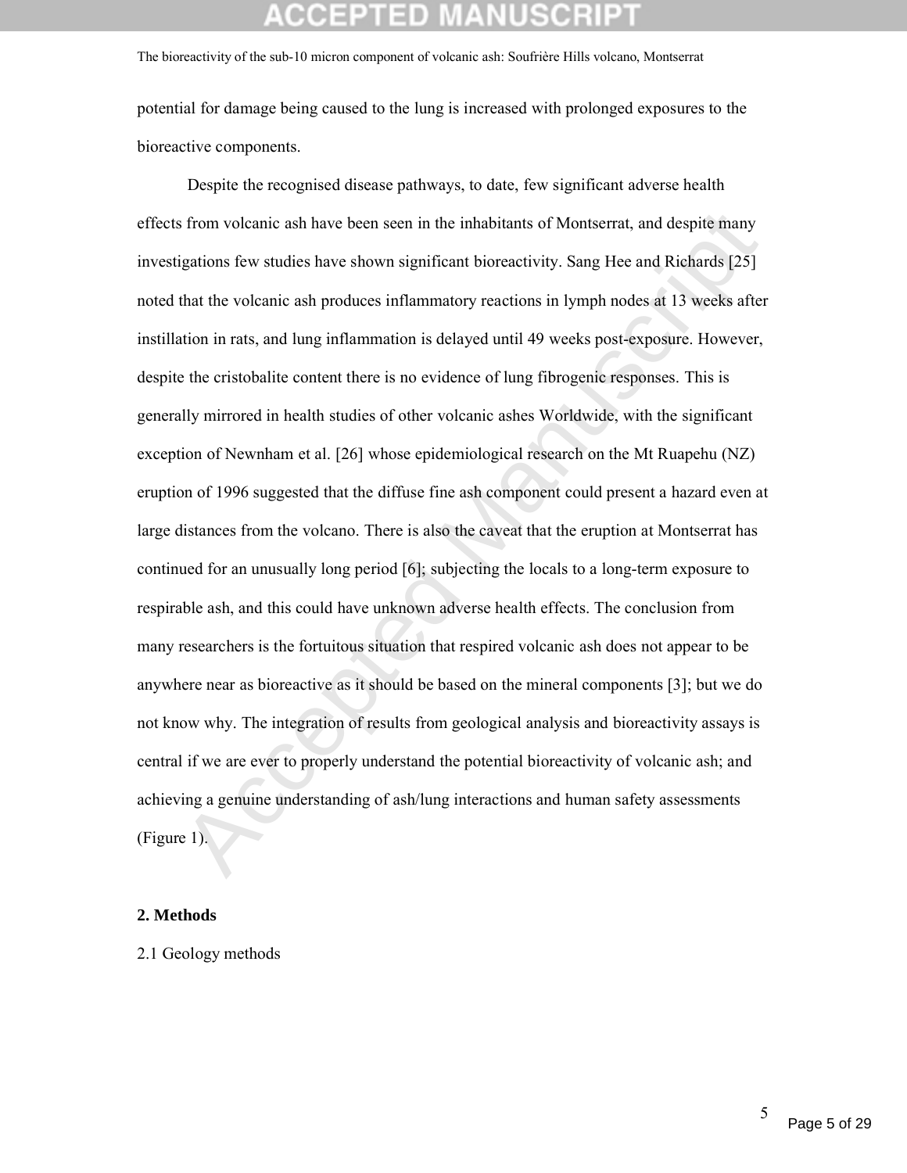potential for damage being caused to the lung is increased with prolonged exposures to the bioreactive components.

from volcanic ash have been seen in the inhabitants of Montserrat, and despite many<br>igations few studies have shown significant bioreactivity. Sang Hee and Richards [25]<br>that the volcanic ash produces inflammatory reaction Despite the recognised disease pathways, to date, few significant adverse health effects from volcanic ash have been seen in the inhabitants of Montserrat, and despite many investigations few studies have shown significant bioreactivity. Sang Hee and Richards [25] noted that the volcanic ash produces inflammatory reactions in lymph nodes at 13 weeks after instillation in rats, and lung inflammation is delayed until 49 weeks post-exposure. However, despite the cristobalite content there is no evidence of lung fibrogenic responses. This is generally mirrored in health studies of other volcanic ashes Worldwide, with the significant exception of Newnham et al. [26] whose epidemiological research on the Mt Ruapehu (NZ) eruption of 1996 suggested that the diffuse fine ash component could present a hazard even at large distances from the volcano. There is also the caveat that the eruption at Montserrat has continued for an unusually long period [6]; subjecting the locals to a long-term exposure to respirable ash, and this could have unknown adverse health effects. The conclusion from many researchers is the fortuitous situation that respired volcanic ash does not appear to be anywhere near as bioreactive as it should be based on the mineral components [3]; but we do not know why. The integration of results from geological analysis and bioreactivity assays is central if we are ever to properly understand the potential bioreactivity of volcanic ash; and achieving a genuine understanding of ash/lung interactions and human safety assessments (Figure 1).

### **2. Methods**

2.1 Geology methods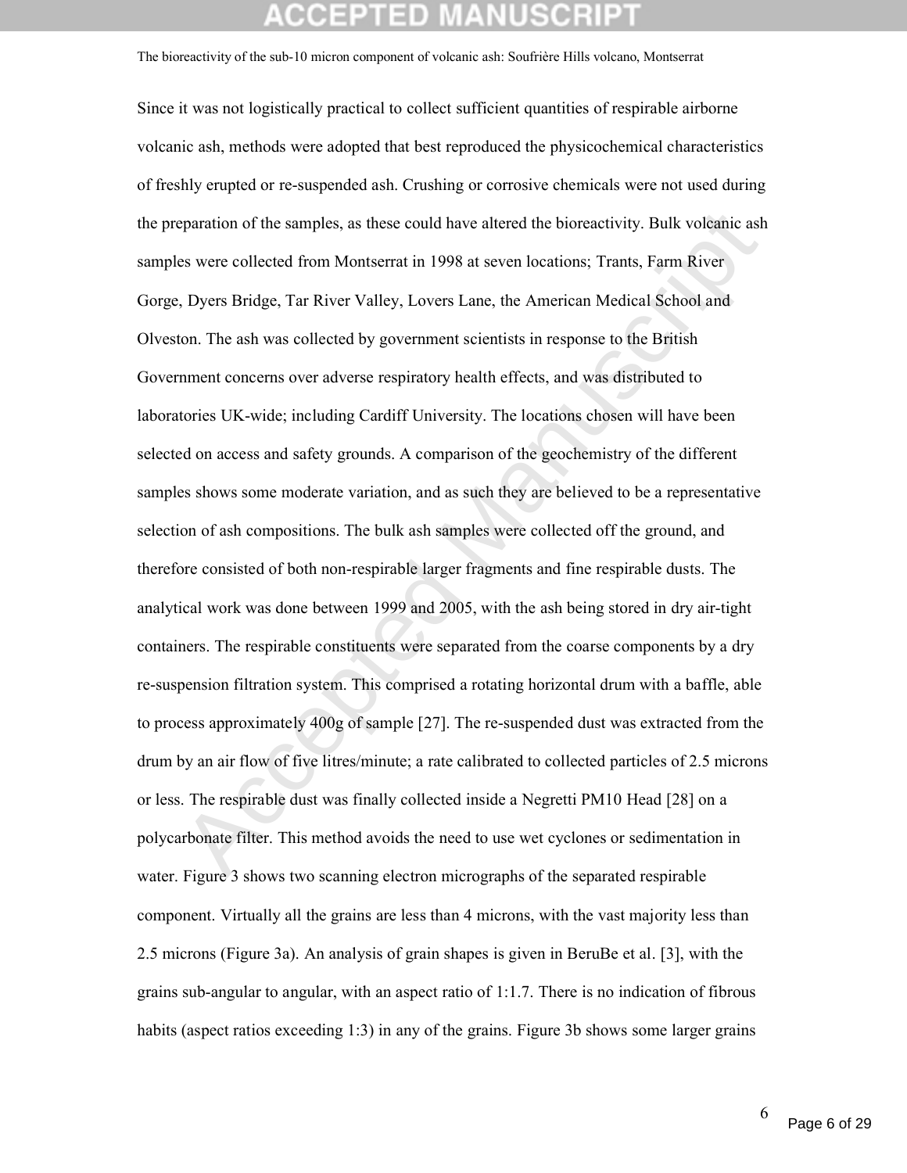eparation of the samples, as these could have altered the bioreactivity. Bulk volcanic ash<br>s were collected from Montserrat in 1998 at seven locations; Trants, Farm River<br>, Dyers Bridge, Tar River Valley, Lovers Lane, the Since it was not logistically practical to collect sufficient quantities of respirable airborne volcanic ash, methods were adopted that best reproduced the physicochemical characteristics of freshly erupted or re-suspended ash. Crushing or corrosive chemicals were not used during the preparation of the samples, as these could have altered the bioreactivity. Bulk volcanic ash samples were collected from Montserrat in 1998 at seven locations; Trants, Farm River Gorge, Dyers Bridge, Tar River Valley, Lovers Lane, the American Medical School and Olveston. The ash was collected by government scientists in response to the British Government concerns over adverse respiratory health effects, and was distributed to laboratories UK-wide; including Cardiff University. The locations chosen will have been selected on access and safety grounds. A comparison of the geochemistry of the different samples shows some moderate variation, and as such they are believed to be a representative selection of ash compositions. The bulk ash samples were collected off the ground, and therefore consisted of both non-respirable larger fragments and fine respirable dusts. The analytical work was done between 1999 and 2005, with the ash being stored in dry air-tight containers. The respirable constituents were separated from the coarse components by a dry re-suspension filtration system. This comprised a rotating horizontal drum with a baffle, able to process approximately 400g of sample [27]. The re-suspended dust was extracted from the drum by an air flow of five litres/minute; a rate calibrated to collected particles of 2.5 microns or less. The respirable dust was finally collected inside a Negretti PM10 Head [28] on a polycarbonate filter. This method avoids the need to use wet cyclones or sedimentation in water. Figure 3 shows two scanning electron micrographs of the separated respirable component. Virtually all the grains are less than 4 microns, with the vast majority less than 2.5 microns (Figure 3a). An analysis of grain shapes is given in BeruBe et al. [3], with the grains sub-angular to angular, with an aspect ratio of 1:1.7. There is no indication of fibrous habits (aspect ratios exceeding 1:3) in any of the grains. Figure 3b shows some larger grains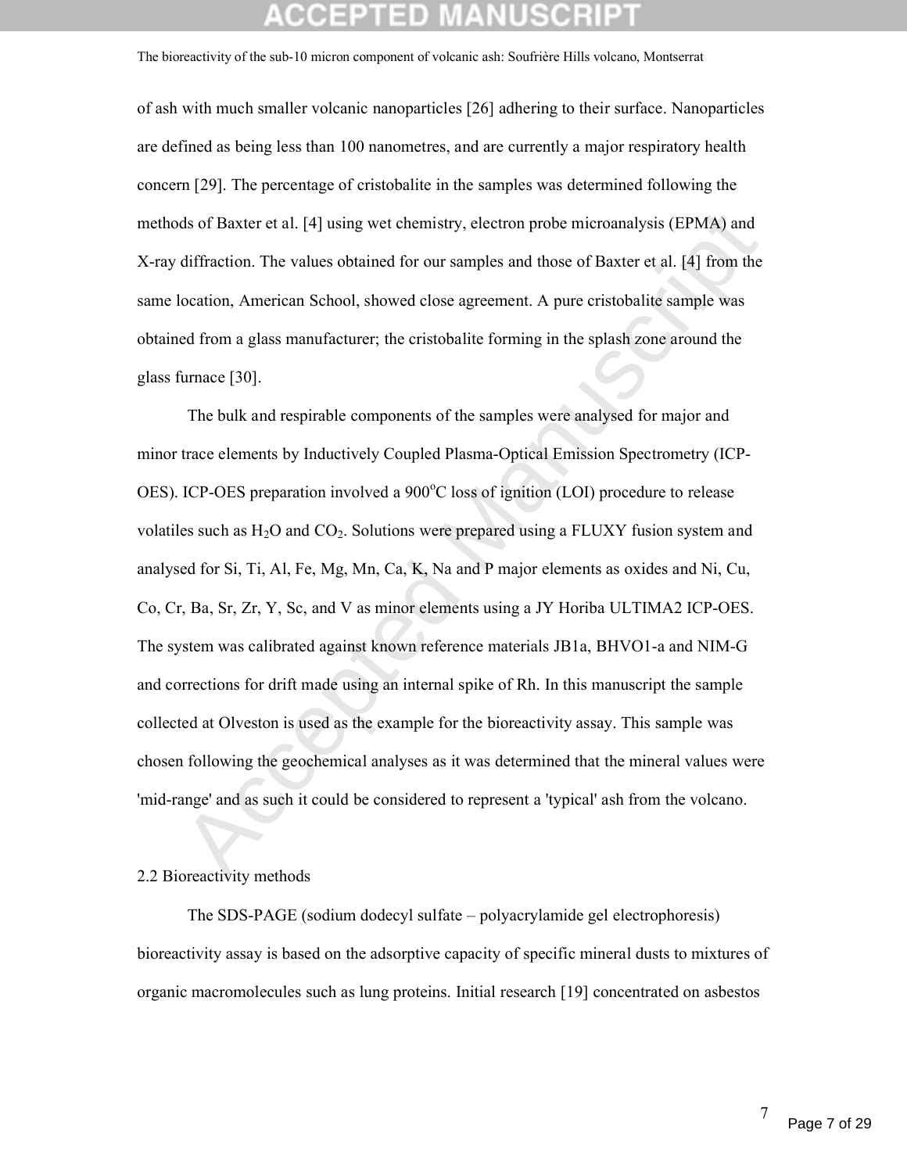of ash with much smaller volcanic nanoparticles [26] adhering to their surface. Nanoparticles are defined as being less than 100 nanometres, and are currently a major respiratory health concern [29]. The percentage of cristobalite in the samples was determined following the methods of Baxter et al. [4] using wet chemistry, electron probe microanalysis (EPMA) and X-ray diffraction. The values obtained for our samples and those of Baxter et al. [4] from the same location, American School, showed close agreement. A pure cristobalite sample was obtained from a glass manufacturer; the cristobalite forming in the splash zone around the glass furnace [30].

ds of Baxter et al. [4] using wet chemistry, electron probe microanalysis (EPMA) and<br>diffraction. The values obtained for our samples and those of Baxter et al. [4] from the<br>location, American School, showed close agreemen The bulk and respirable components of the samples were analysed for major and minor trace elements by Inductively Coupled Plasma-Optical Emission Spectrometry (ICP-OES). ICP-OES preparation involved a 900°C loss of ignition (LOI) procedure to release volatiles such as  $H_2O$  and  $CO_2$ . Solutions were prepared using a FLUXY fusion system and analysed for Si, Ti, Al, Fe, Mg, Mn, Ca, K, Na and P major elements as oxides and Ni, Cu, Co, Cr, Ba, Sr, Zr, Y, Sc, and V as minor elements using a JY Horiba ULTIMA2 ICP-OES. The system was calibrated against known reference materials JB1a, BHVO1-a and NIM-G and corrections for drift made using an internal spike of Rh. In this manuscript the sample collected at Olveston is used as the example for the bioreactivity assay. This sample was chosen following the geochemical analyses as it was determined that the mineral values were 'mid-range' and as such it could be considered to represent a 'typical' ash from the volcano.

### 2.2 Bioreactivity methods

The SDS-PAGE (sodium dodecyl sulfate – polyacrylamide gel electrophoresis) bioreactivity assay is based on the adsorptive capacity of specific mineral dusts to mixtures of organic macromolecules such as lung proteins. Initial research [19] concentrated on asbestos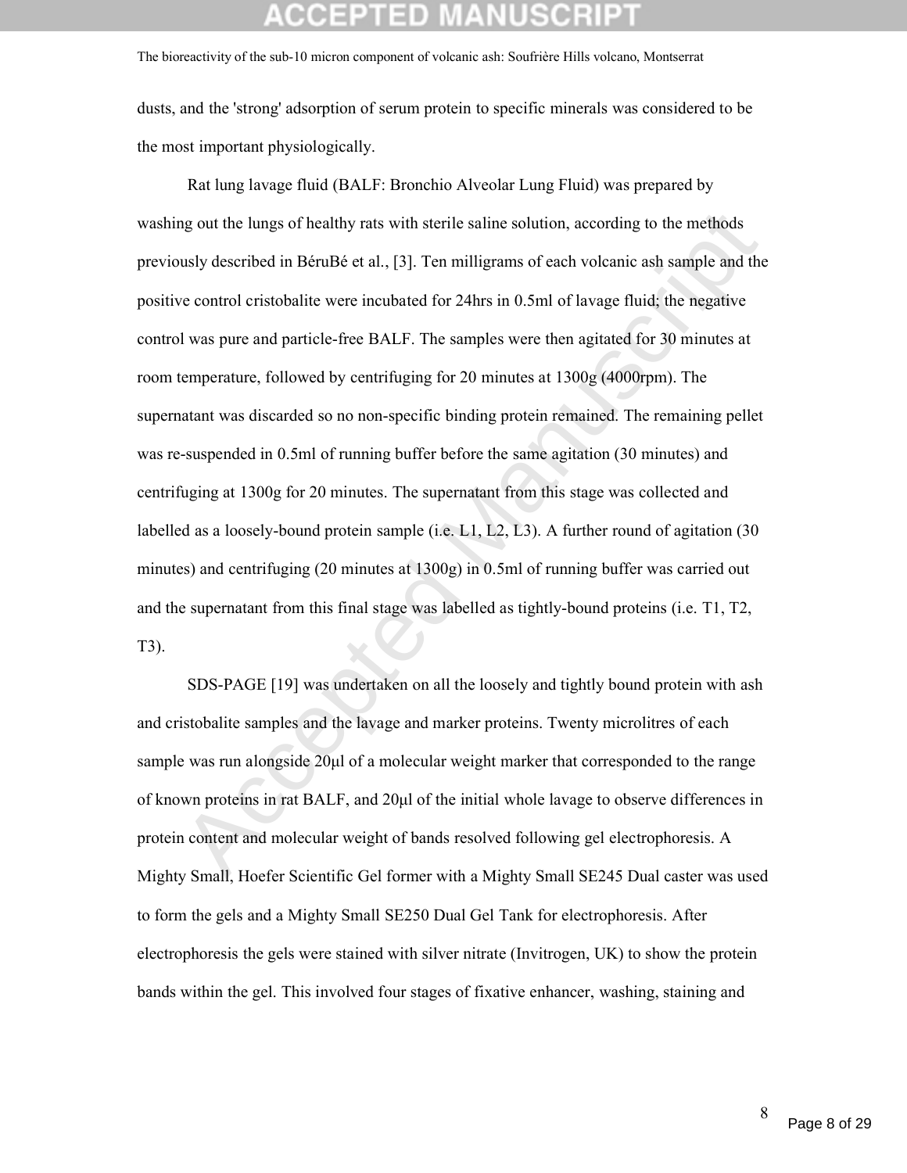dusts, and the 'strong' adsorption of serum protein to specific minerals was considered to be the most important physiologically.

mg out the lungs of healthy rats with sterile saline solution, according to the methods<br>susly described in BéruBé et al., [3]. Ten milligrams of each volcanic ash sample and the<br>ve control cristobalite were incubated for 2 Rat lung lavage fluid (BALF: Bronchio Alveolar Lung Fluid) was prepared by washing out the lungs of healthy rats with sterile saline solution, according to the methods previously described in BéruBé et al., [3]. Ten milligrams of each volcanic ash sample and the positive control cristobalite were incubated for 24hrs in 0.5ml of lavage fluid; the negative control was pure and particle-free BALF. The samples were then agitated for 30 minutes at room temperature, followed by centrifuging for 20 minutes at 1300g (4000rpm). The supernatant was discarded so no non-specific binding protein remained. The remaining pellet was re-suspended in 0.5ml of running buffer before the same agitation (30 minutes) and centrifuging at 1300g for 20 minutes. The supernatant from this stage was collected and labelled as a loosely-bound protein sample (i.e. L1, L2, L3). A further round of agitation (30) minutes) and centrifuging (20 minutes at 1300g) in 0.5ml of running buffer was carried out and the supernatant from this final stage was labelled as tightly-bound proteins (i.e. T1, T2, T3).

SDS-PAGE [19] was undertaken on all the loosely and tightly bound protein with ash and cristobalite samples and the lavage and marker proteins. Twenty microlitres of each sample was run alongside 20μl of a molecular weight marker that corresponded to the range of known proteins in rat BALF, and 20μl of the initial whole lavage to observe differences in protein content and molecular weight of bands resolved following gel electrophoresis. A Mighty Small, Hoefer Scientific Gel former with a Mighty Small SE245 Dual caster was used to form the gels and a Mighty Small SE250 Dual Gel Tank for electrophoresis. After electrophoresis the gels were stained with silver nitrate (Invitrogen, UK) to show the protein bands within the gel. This involved four stages of fixative enhancer, washing, staining and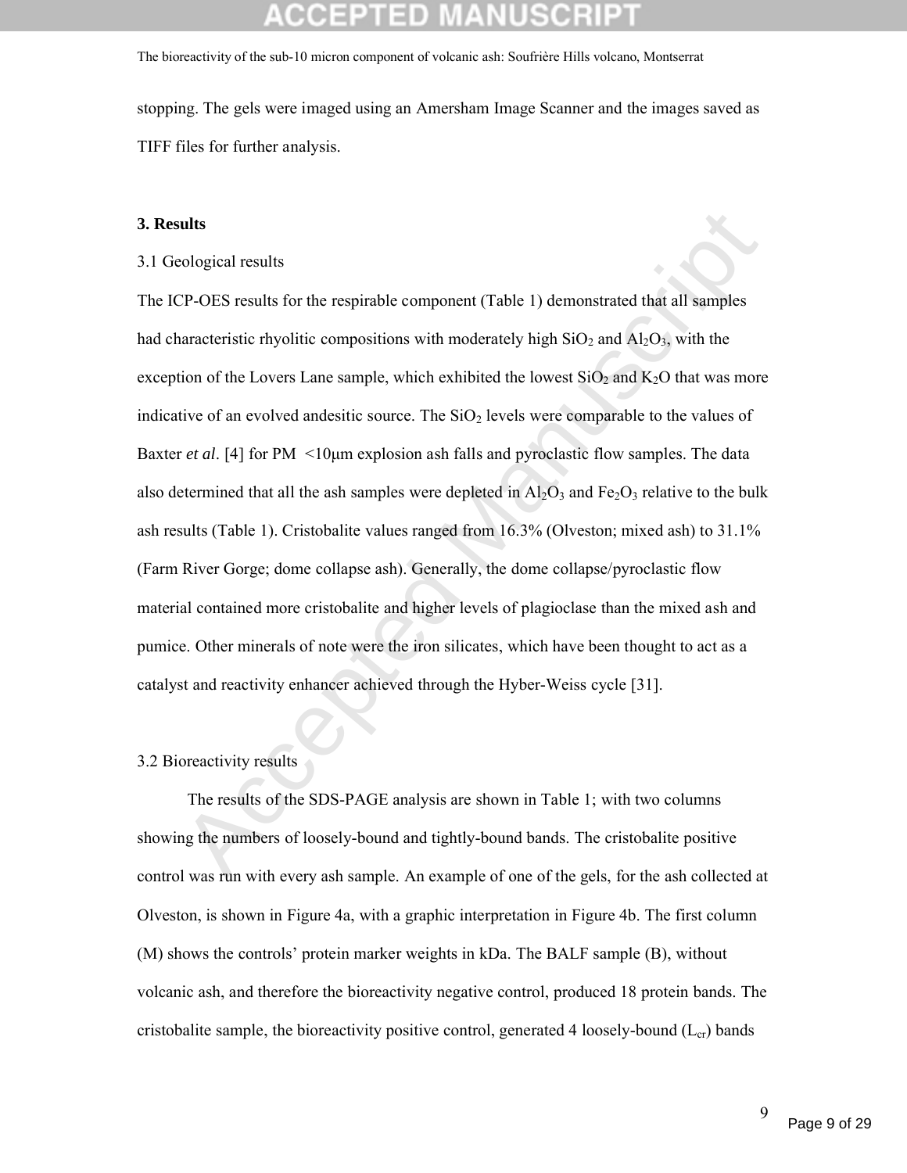stopping. The gels were imaged using an Amersham Image Scanner and the images saved as TIFF files for further analysis.

### **3. Results**

### 3.1 Geological results

**EXECUTE:**<br>
Sological results<br>
TP-OES results for the respirable component (Table 1) demonstrated that all samples<br>
naracteristic rhyolitic compositions with moderately high SiO<sub>2</sub> and Al<sub>2</sub>O<sub>3</sub>, with the<br>
tion of the Lov The ICP-OES results for the respirable component (Table 1) demonstrated that all samples had characteristic rhyolitic compositions with moderately high  $SiO<sub>2</sub>$  and  $Al<sub>2</sub>O<sub>3</sub>$ , with the exception of the Lovers Lane sample, which exhibited the lowest  $SiO<sub>2</sub>$  and  $K<sub>2</sub>O$  that was more indicative of an evolved andesitic source. The  $SiO<sub>2</sub>$  levels were comparable to the values of Baxter *et al.* [4] for PM <10<sub>µm</sub> explosion ash falls and pyroclastic flow samples. The data also determined that all the ash samples were depleted in  $A_2O_3$  and  $Fe_2O_3$  relative to the bulk ash results (Table 1). Cristobalite values ranged from 16.3% (Olveston; mixed ash) to 31.1% (Farm River Gorge; dome collapse ash). Generally, the dome collapse/pyroclastic flow material contained more cristobalite and higher levels of plagioclase than the mixed ash and pumice. Other minerals of note were the iron silicates, which have been thought to act as a catalyst and reactivity enhancer achieved through the Hyber-Weiss cycle [31].

### 3.2 Bioreactivity results

The results of the SDS-PAGE analysis are shown in Table 1; with two columns showing the numbers of loosely-bound and tightly-bound bands. The cristobalite positive control was run with every ash sample. An example of one of the gels, for the ash collected at Olveston, is shown in Figure 4a, with a graphic interpretation in Figure 4b. The first column (M) shows the controls' protein marker weights in kDa. The BALF sample (B), without volcanic ash, and therefore the bioreactivity negative control, produced 18 protein bands. The cristobalite sample, the bioreactivity positive control, generated 4 loosely-bound  $(L_{cr})$  bands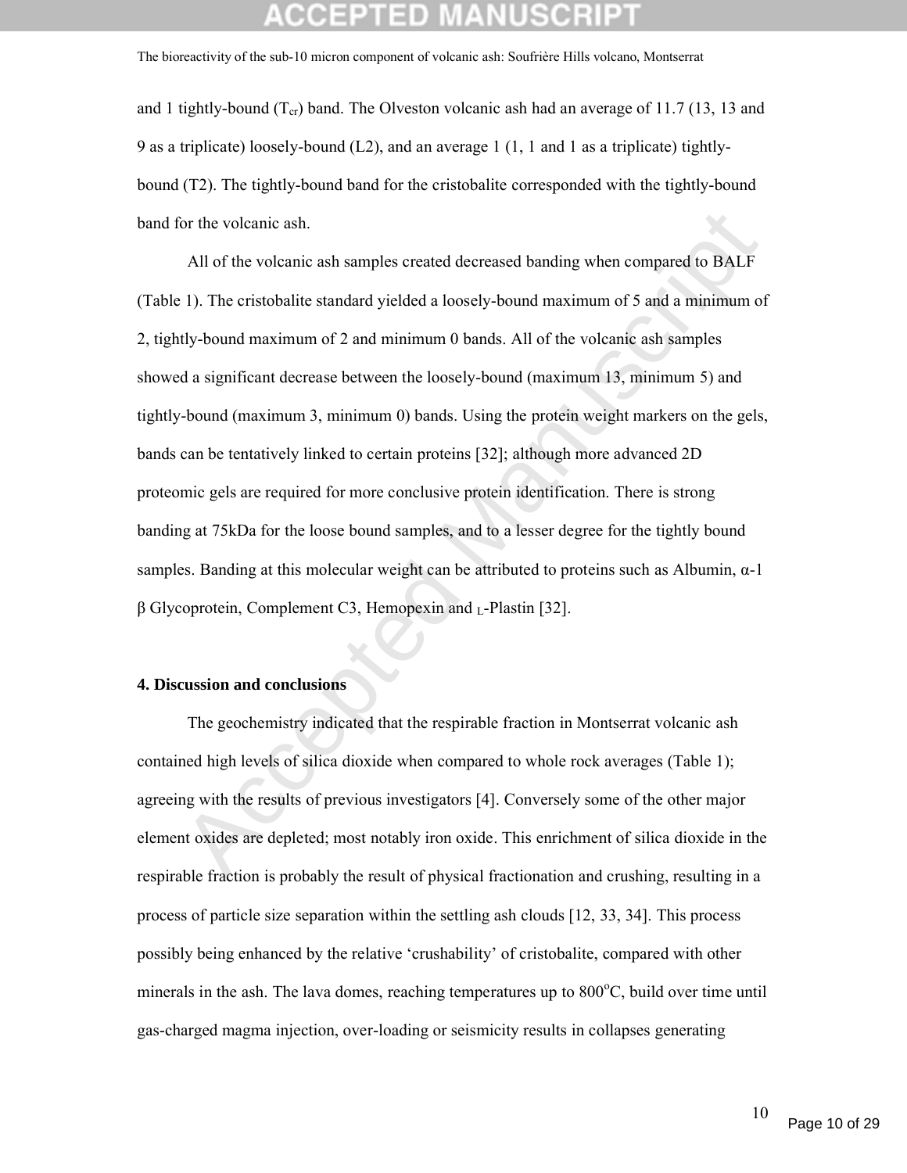and 1 tightly-bound  $(T_{cr})$  band. The Olveston volcanic ash had an average of 11.7 (13, 13 and 9 as a triplicate) loosely-bound (L2), and an average 1 (1, 1 and 1 as a triplicate) tightlybound (T2). The tightly-bound band for the cristobalite corresponded with the tightly-bound band for the volcanic ash.

or the volcanic ash.<br>
All of the volcanic ash samples created decreased banding when compared to BALP<br>
1). The cristobalite standard yielded a loosely-bound maximum of 5 and a minimum of<br>
10 thy-bound maximum of 2 and mini All of the volcanic ash samples created decreased banding when compared to BALF (Table 1). The cristobalite standard yielded a loosely-bound maximum of 5 and a minimum of 2, tightly-bound maximum of 2 and minimum 0 bands. All of the volcanic ash samples showed a significant decrease between the loosely-bound (maximum 13, minimum 5) and tightly-bound (maximum 3, minimum 0) bands. Using the protein weight markers on the gels, bands can be tentatively linked to certain proteins [32]; although more advanced 2D proteomic gels are required for more conclusive protein identification. There is strong banding at 75kDa for the loose bound samples, and to a lesser degree for the tightly bound samples. Banding at this molecular weight can be attributed to proteins such as Albumin, α-1  $β$  Glycoprotein, Complement C3, Hemopexin and  $L$ -Plastin [32].

### **4. Discussion and conclusions**

The geochemistry indicated that the respirable fraction in Montserrat volcanic ash contained high levels of silica dioxide when compared to whole rock averages (Table 1); agreeing with the results of previous investigators [4]. Conversely some of the other major element oxides are depleted; most notably iron oxide. This enrichment of silica dioxide in the respirable fraction is probably the result of physical fractionation and crushing, resulting in a process of particle size separation within the settling ash clouds [12, 33, 34]. This process possibly being enhanced by the relative 'crushability' of cristobalite, compared with other minerals in the ash. The lava domes, reaching temperatures up to  $800^{\circ}$ C, build over time until gas-charged magma injection, over-loading or seismicity results in collapses generating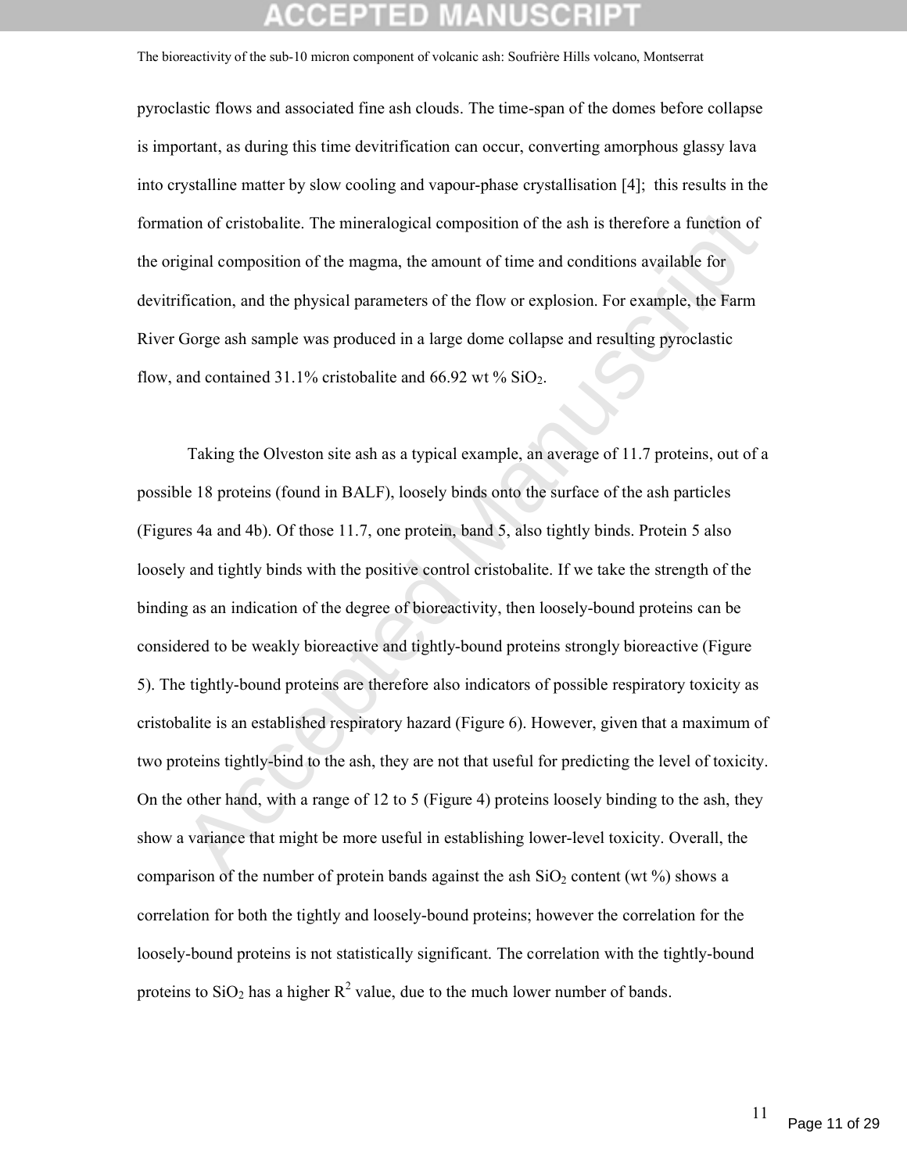pyroclastic flows and associated fine ash clouds. The time-span of the domes before collapse is important, as during this time devitrification can occur, converting amorphous glassy lava into crystalline matter by slow cooling and vapour-phase crystallisation [4]; this results in the formation of cristobalite. The mineralogical composition of the ash is therefore a function of the original composition of the magma, the amount of time and conditions available for devitrification, and the physical parameters of the flow or explosion. For example, the Farm River Gorge ash sample was produced in a large dome collapse and resulting pyroclastic flow, and contained 31.1% cristobalite and 66.92 wt %  $SiO<sub>2</sub>$ .

tion of cristobalite. The mineralogical composition of the ash is therefore a function of<br>
iginal composition of the magma, the amount of time and conditions available for<br>
ification, and the physical parameters of the fl Taking the Olveston site ash as a typical example, an average of 11.7 proteins, out of a possible 18 proteins (found in BALF), loosely binds onto the surface of the ash particles (Figures 4a and 4b). Of those 11.7, one protein, band 5, also tightly binds. Protein 5 also loosely and tightly binds with the positive control cristobalite. If we take the strength of the binding as an indication of the degree of bioreactivity, then loosely-bound proteins can be considered to be weakly bioreactive and tightly-bound proteins strongly bioreactive (Figure 5). The tightly-bound proteins are therefore also indicators of possible respiratory toxicity as cristobalite is an established respiratory hazard (Figure 6). However, given that a maximum of two proteins tightly-bind to the ash, they are not that useful for predicting the level of toxicity. On the other hand, with a range of 12 to 5 (Figure 4) proteins loosely binding to the ash, they show a variance that might be more useful in establishing lower-level toxicity. Overall, the comparison of the number of protein bands against the ash  $SiO<sub>2</sub>$  content (wt %) shows a correlation for both the tightly and loosely-bound proteins; however the correlation for the loosely-bound proteins is not statistically significant. The correlation with the tightly-bound proteins to  $SiO_2$  has a higher  $R^2$  value, due to the much lower number of bands.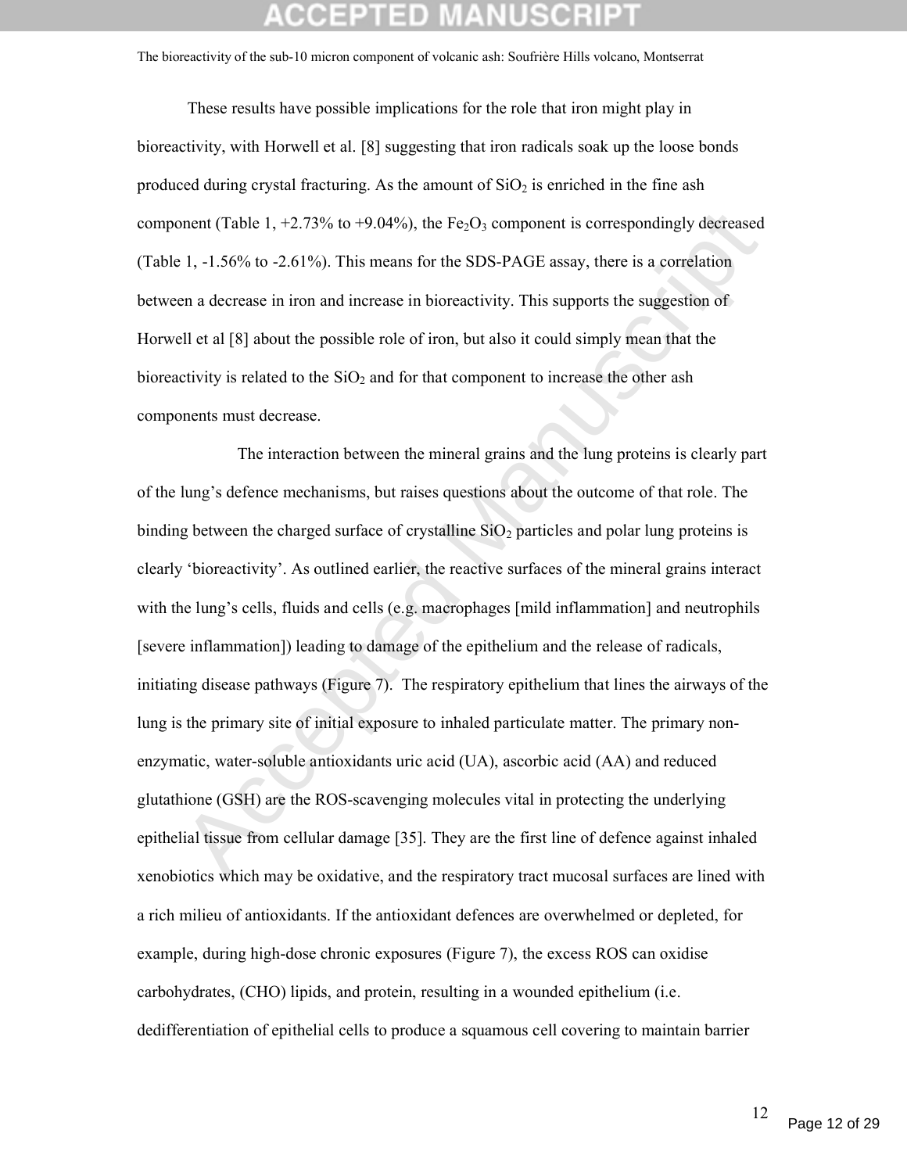These results have possible implications for the role that iron might play in bioreactivity, with Horwell et al. [8] suggesting that iron radicals soak up the loose bonds produced during crystal fracturing. As the amount of  $SiO<sub>2</sub>$  is enriched in the fine ash component (Table 1,  $+2.73\%$  to  $+9.04\%$ ), the Fe<sub>2</sub>O<sub>3</sub> component is correspondingly decreased (Table 1, -1.56% to -2.61%). This means for the SDS-PAGE assay, there is a correlation between a decrease in iron and increase in bioreactivity. This supports the suggestion of Horwell et al [8] about the possible role of iron, but also it could simply mean that the bioreactivity is related to the  $SiO<sub>2</sub>$  and for that component to increase the other ash components must decrease.

ment (Table 1, +2.73% to +9.04%), the Fe<sub>2</sub>O<sub>3</sub> component is correspondingly decreased<br>1, -1.56% to -2.61%). This means for the SDS-PAGE assay, there is a correlation<br>en a decrease in iron and increase in bioreactivity. T The interaction between the mineral grains and the lung proteins is clearly part of the lung's defence mechanisms, but raises questions about the outcome of that role. The binding between the charged surface of crystalline  $SiO<sub>2</sub>$  particles and polar lung proteins is clearly 'bioreactivity'. As outlined earlier, the reactive surfaces of the mineral grains interact with the lung's cells, fluids and cells (e.g. macrophages [mild inflammation] and neutrophils [severe inflammation]) leading to damage of the epithelium and the release of radicals, initiating disease pathways (Figure 7). The respiratory epithelium that lines the airways of the lung is the primary site of initial exposure to inhaled particulate matter. The primary nonenzymatic, water-soluble antioxidants uric acid (UA), ascorbic acid (AA) and reduced glutathione (GSH) are the ROS-scavenging molecules vital in protecting the underlying epithelial tissue from cellular damage [35]. They are the first line of defence against inhaled xenobiotics which may be oxidative, and the respiratory tract mucosal surfaces are lined with a rich milieu of antioxidants. If the antioxidant defences are overwhelmed or depleted, for example, during high-dose chronic exposures (Figure 7), the excess ROS can oxidise carbohydrates, (CHO) lipids, and protein, resulting in a wounded epithelium (i.e. dedifferentiation of epithelial cells to produce a squamous cell covering to maintain barrier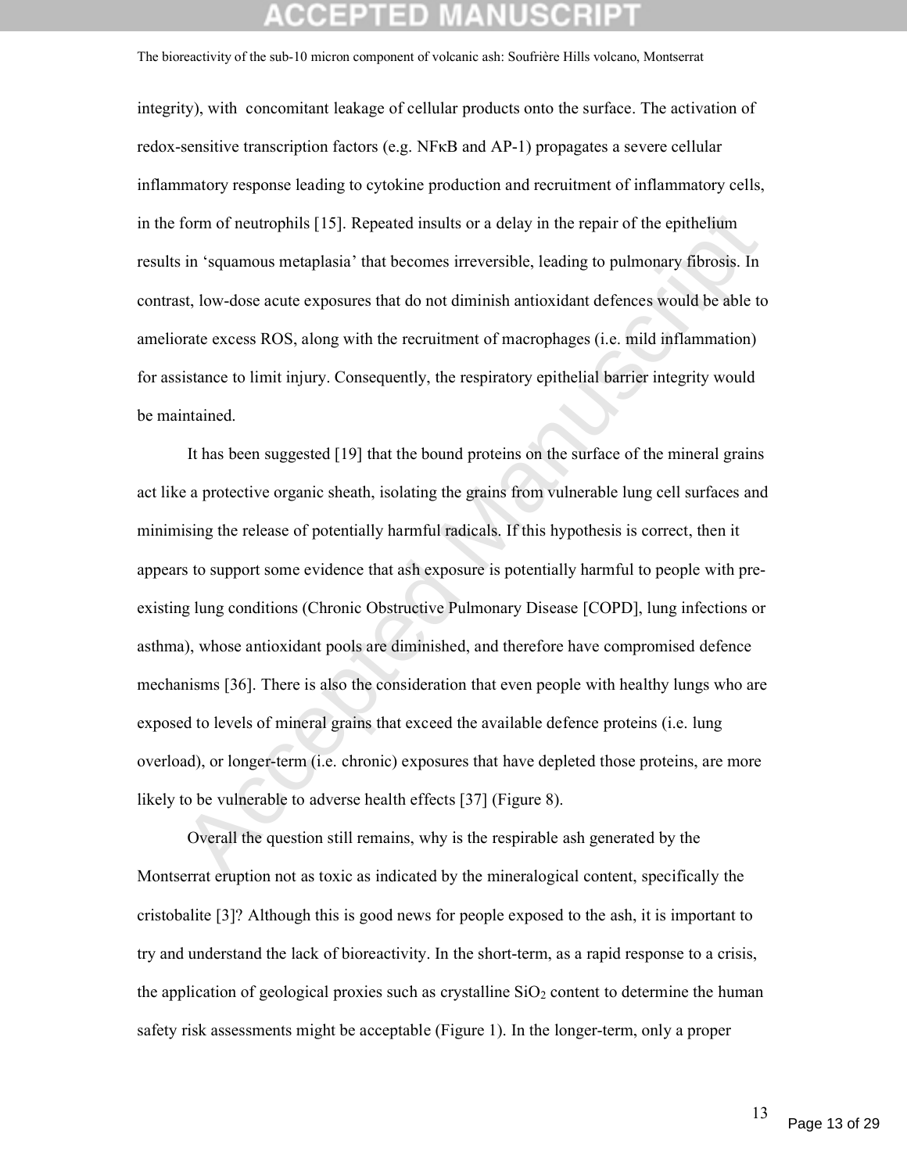integrity), with concomitant leakage of cellular products onto the surface. The activation of redox-sensitive transcription factors (e.g. NFκB and AP-1) propagates a severe cellular inflammatory response leading to cytokine production and recruitment of inflammatory cells, in the form of neutrophils [15]. Repeated insults or a delay in the repair of the epithelium results in 'squamous metaplasia' that becomes irreversible, leading to pulmonary fibrosis. In contrast, low-dose acute exposures that do not diminish antioxidant defences would be able to ameliorate excess ROS, along with the recruitment of macrophages (i.e. mild inflammation) for assistance to limit injury. Consequently, the respiratory epithelial barrier integrity would be maintained.

form of neutrophils [15]. Repeated insults or a delay in the repair of the epithelium<br>in 'squamous metaplasia' that becomes irreversible, leading to pulmonary fibrosis. In<br>st, low-dose acute exposures that do not diminish It has been suggested [19] that the bound proteins on the surface of the mineral grains act like a protective organic sheath, isolating the grains from vulnerable lung cell surfaces and minimising the release of potentially harmful radicals. If this hypothesis is correct, then it appears to support some evidence that ash exposure is potentially harmful to people with preexisting lung conditions (Chronic Obstructive Pulmonary Disease [COPD], lung infections or asthma), whose antioxidant pools are diminished, and therefore have compromised defence mechanisms [36]. There is also the consideration that even people with healthy lungs who are exposed to levels of mineral grains that exceed the available defence proteins (i.e. lung overload), or longer-term (i.e. chronic) exposures that have depleted those proteins, are more likely to be vulnerable to adverse health effects [37] (Figure 8).

Overall the question still remains, why is the respirable ash generated by the Montserrat eruption not as toxic as indicated by the mineralogical content, specifically the cristobalite [3]? Although this is good news for people exposed to the ash, it is important to try and understand the lack of bioreactivity. In the short-term, as a rapid response to a crisis, the application of geological proxies such as crystalline  $SiO<sub>2</sub>$  content to determine the human safety risk assessments might be acceptable (Figure 1). In the longer-term, only a proper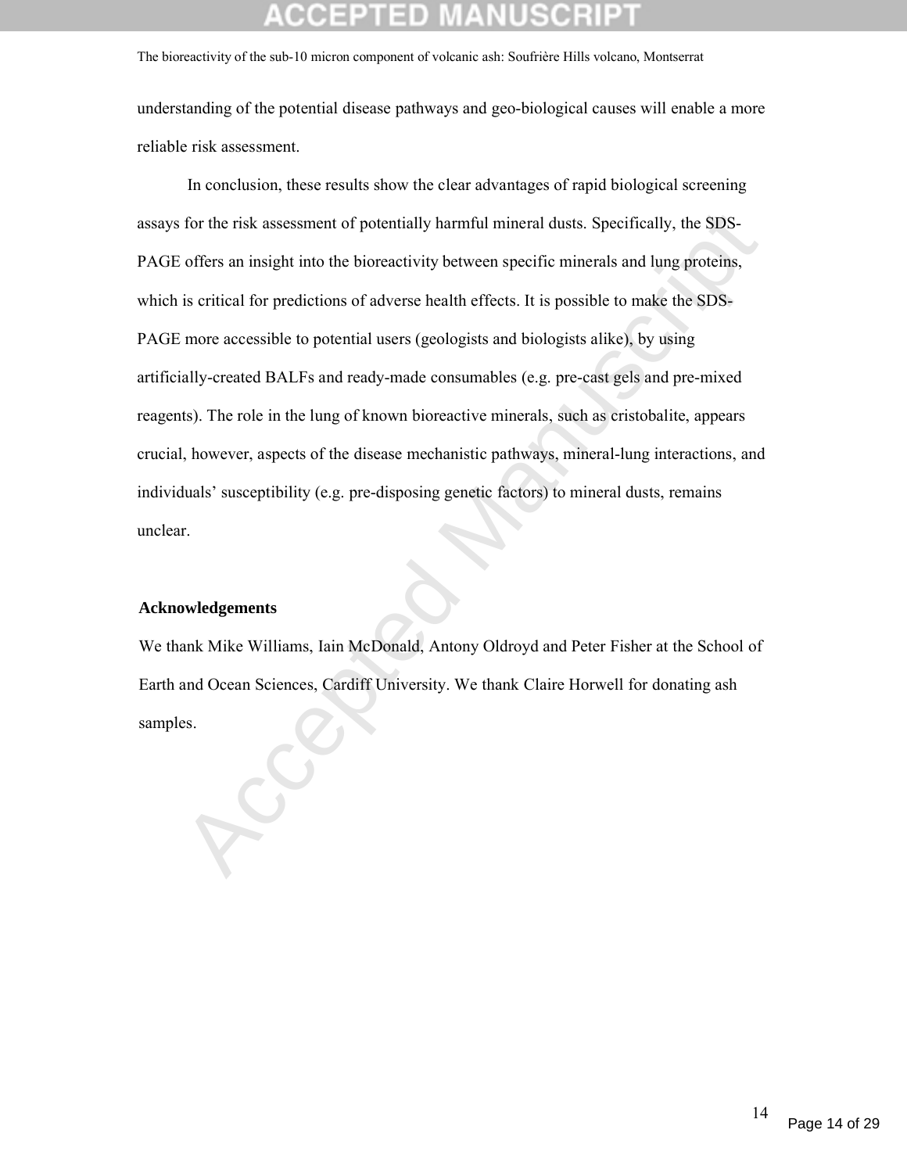understanding of the potential disease pathways and geo-biological causes will enable a more reliable risk assessment.

for the risk assessment of potentially harmful mineral dusts. Specifically, the SDS-<br>
offers an insight into the biorcactivity between specific minerals and lung proteins,<br>
is critical for predictions of adverse health eff In conclusion, these results show the clear advantages of rapid biological screening assays for the risk assessment of potentially harmful mineral dusts. Specifically, the SDS-PAGE offers an insight into the bioreactivity between specific minerals and lung proteins, which is critical for predictions of adverse health effects. It is possible to make the SDS-PAGE more accessible to potential users (geologists and biologists alike), by using artificially-created BALFs and ready-made consumables (e.g. pre-cast gels and pre-mixed reagents). The role in the lung of known bioreactive minerals, such as cristobalite, appears crucial, however, aspects of the disease mechanistic pathways, mineral-lung interactions, and individuals' susceptibility (e.g. pre-disposing genetic factors) to mineral dusts, remains unclear.

### **Acknowledgements**

We thank Mike Williams, Iain McDonald, Antony Oldroyd and Peter Fisher at the School of Earth and Ocean Sciences, Cardiff University. We thank Claire Horwell for donating ash samples.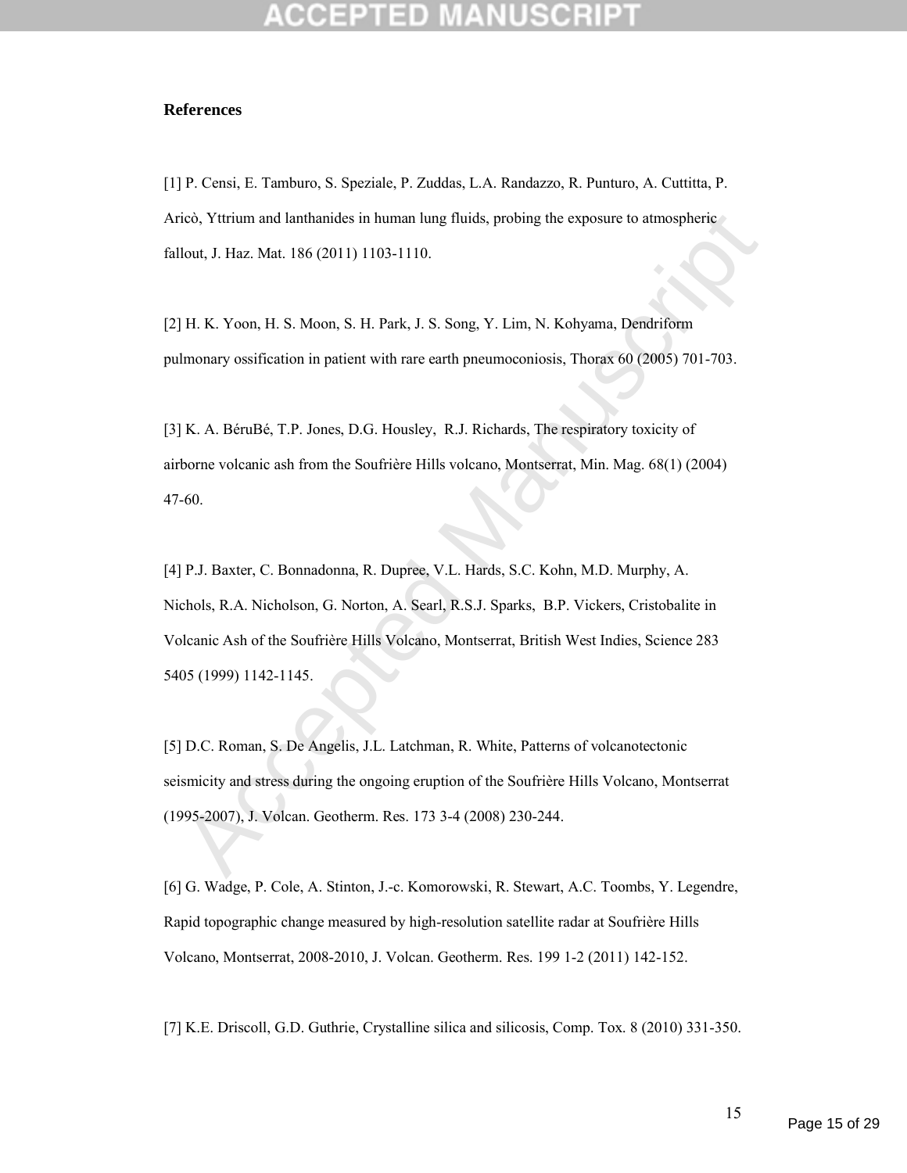### **References**

[1] P. Censi, E. Tamburo, S. Speziale, P. Zuddas, L.A. Randazzo, R. Punturo, A. Cuttitta, P. Aricò, Yttrium and lanthanides in human lung fluids, probing the exposure to atmospheric fallout, J. Haz. Mat. 186 (2011) 1103-1110.

[2] H. K. Yoon, H. S. Moon, S. H. Park, J. S. Song, Y. Lim, N. Kohyama, Dendriform pulmonary ossification in patient with rare earth pneumoconiosis, Thorax 60 (2005) 701-703.

[3] K. A. BéruBé, T.P. Jones, D.G. Housley, R.J. Richards, The respiratory toxicity of airborne volcanic ash from the Soufrière Hills volcano, Montserrat, Min. Mag. 68(1) (2004) 47-60.

ico, Yttrium and lanthanides in human lung fluids, probing the exposure to atmospheric<br>
lout, J. Haz. Mat. 186 (2011) 1103-1110.<br>
H. K. Yoon, H. S. Moon, S. H. Park, J. S. Song, Y. Lim, N. Kohyama, Dendriform<br>
lmonary ossi [4] P.J. Baxter, C. Bonnadonna, R. Dupree, V.L. Hards, S.C. Kohn, M.D. Murphy, A. Nichols, R.A. Nicholson, G. Norton, A. Searl, R.S.J. Sparks, B.P. Vickers, Cristobalite in Volcanic Ash of the Soufrière Hills Volcano, Montserrat, British West Indies, Science 283 5405 (1999) 1142-1145.

[5] D.C. Roman, S. De Angelis, J.L. Latchman, R. White, Patterns of volcanotectonic seismicity and stress during the ongoing eruption of the Soufrière Hills Volcano, Montserrat (1995-2007), J. Volcan. Geotherm. Res. 173 3-4 (2008) 230-244.

[6] G. Wadge, P. Cole, A. Stinton, J.-c. Komorowski, R. Stewart, A.C. Toombs, Y. Legendre, Rapid topographic change measured by high-resolution satellite radar at Soufrière Hills Volcano, Montserrat, 2008-2010, J. Volcan. Geotherm. Res. 199 1-2 (2011) 142-152.

[7] K.E. Driscoll, G.D. Guthrie, Crystalline silica and silicosis, Comp. Tox. 8 (2010) 331-350.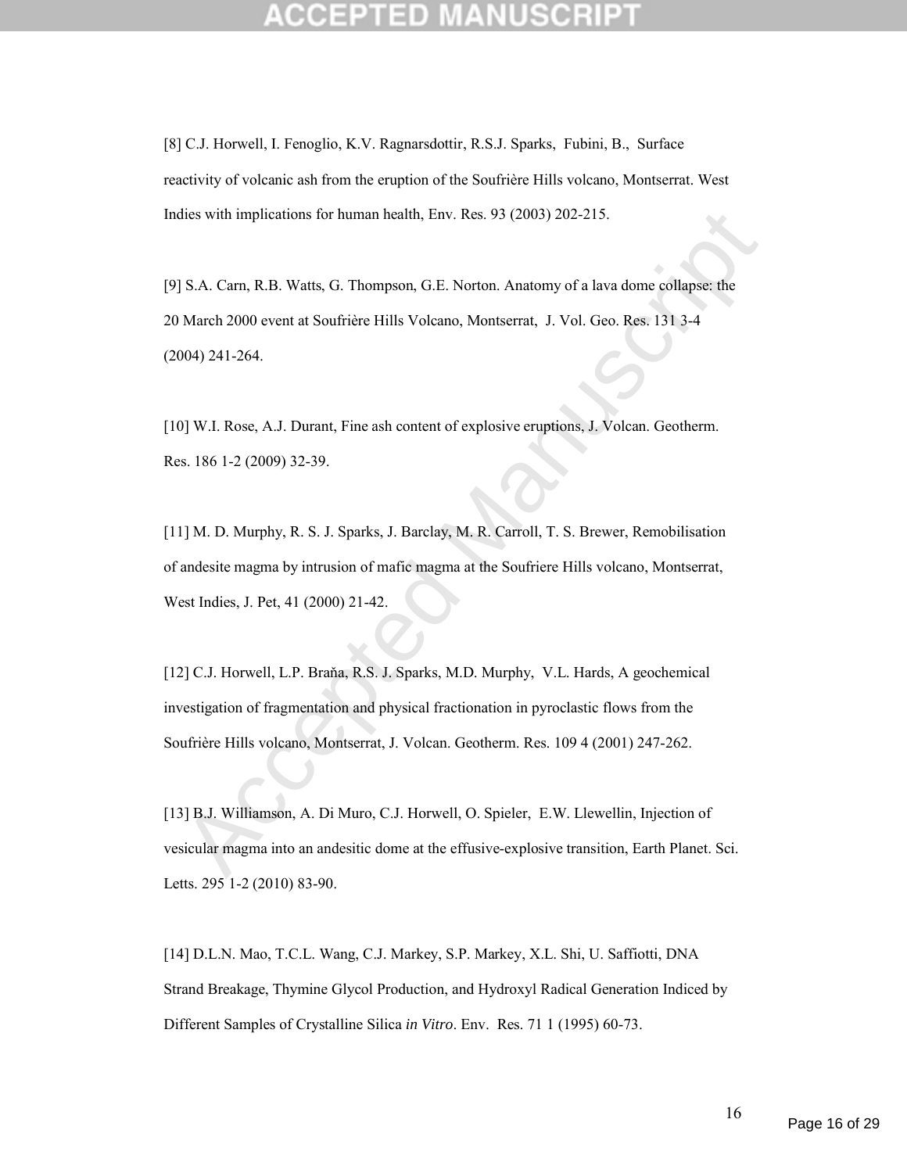[8] C.J. Horwell, I. Fenoglio, K.V. Ragnarsdottir, R.S.J. Sparks, Fubini, B., Surface reactivity of volcanic ash from the eruption of the Soufrière Hills volcano, Montserrat. West Indies with implications for human health, Env. Res. 93 (2003) 202-215.

dies with implications for human health, Env. Res. 93 (2003) 202-215.<br>
S.A. Carn, R.B. Watts, G. Thompson, G.E. Norton. Anatomy of a lava dome collapse: the<br>
March 2000 event at Soufrière Hills Volcano, Montserrat, J. Vol. [9] S.A. Carn, R.B. Watts, G. Thompson, G.E. Norton. Anatomy of a lava dome collapse: the 20 March 2000 event at Soufrière Hills Volcano, Montserrat, J. Vol. Geo. Res. 131 3-4 (2004) 241-264.

[10] W.I. Rose, A.J. Durant, Fine ash content of explosive eruptions, J. Volcan. Geotherm. Res. 186 1-2 (2009) 32-39.

[11] M. D. Murphy, R. S. J. Sparks, J. Barclay, M. R. Carroll, T. S. Brewer, Remobilisation of andesite magma by intrusion of mafic magma at the Soufriere Hills volcano, Montserrat, West Indies, J. Pet, 41 (2000) 21-42.

[12] C.J. Horwell, L.P. Braňa, R.S. J. Sparks, M.D. Murphy, V.L. Hards, A geochemical investigation of fragmentation and physical fractionation in pyroclastic flows from the Soufrière Hills volcano, Montserrat, J. Volcan. Geotherm. Res. 109 4 (2001) 247-262.

[13] B.J. Williamson, A. Di Muro, C.J. Horwell, O. Spieler, E.W. Llewellin, Injection of vesicular magma into an andesitic dome at the effusive-explosive transition, Earth Planet. Sci. Letts. 295 1-2 (2010) 83-90.

[14] D.L.N. Mao, T.C.L. Wang, C.J. Markey, S.P. Markey, X.L. Shi, U. Saffiotti, DNA Strand Breakage, Thymine Glycol Production, and Hydroxyl Radical Generation Indiced by Different Samples of Crystalline Silica *in Vitro*. Env. Res. 71 1 (1995) 60-73.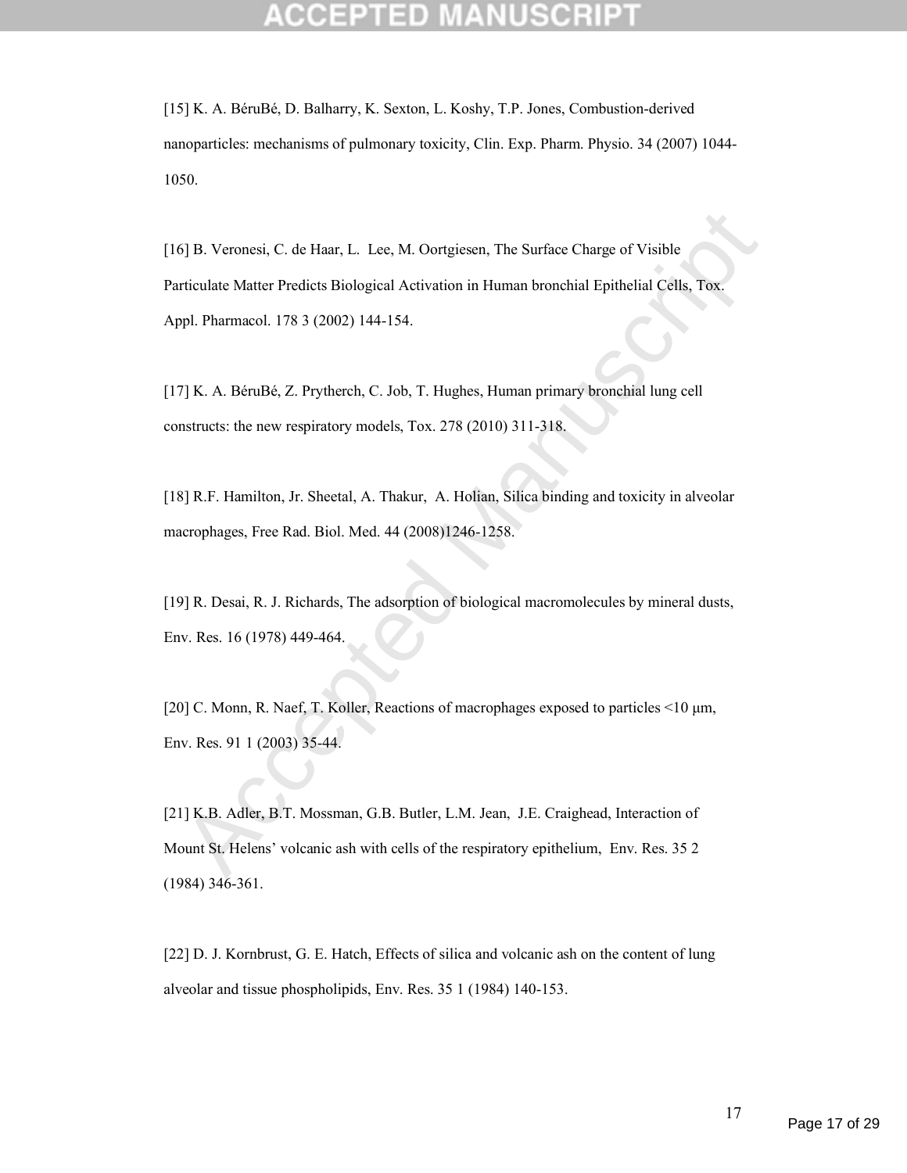[15] K. A. BéruBé, D. Balharry, K. Sexton, L. Koshy, T.P. Jones, Combustion-derived nanoparticles: mechanisms of pulmonary toxicity, Clin. Exp. Pharm. Physio. 34 (2007) 1044- 1050.

5] B. Veronesi, C. de Haar, L. Lee, M. Oortgiesen, The Surface Charge of Visible<br>riculate Matter Predicts Biological Activation in Human bronchial Epithelial Cells. Tox-<br>ppl. Pharmacol. 178 3 (2002) 144-154.<br>7] K. A. BéruB [16] B. Veronesi, C. de Haar, L. Lee, M. Oortgiesen, The Surface Charge of Visible Particulate Matter Predicts Biological Activation in Human bronchial Epithelial Cells, Tox. Appl. Pharmacol. 178 3 (2002) 144-154.

[17] K. A. BéruBé, Z. Prytherch, C. Job, T. Hughes, Human primary bronchial lung cell constructs: the new respiratory models, Tox. 278 (2010) 311-318.

[18] R.F. Hamilton, Jr. Sheetal, A. Thakur, A. Holian, Silica binding and toxicity in alveolar macrophages, Free Rad. Biol. Med. 44 (2008)1246-1258.

[19] R. Desai, R. J. Richards, The adsorption of biological macromolecules by mineral dusts, Env. Res. 16 (1978) 449-464.

[20] C. Monn, R. Naef, T. Koller, Reactions of macrophages exposed to particles <10 μm, Env. Res. 91 1 (2003) 35-44.

[21] K.B. Adler, B.T. Mossman, G.B. Butler, L.M. Jean, J.E. Craighead, Interaction of Mount St. Helens' volcanic ash with cells of the respiratory epithelium, Env. Res. 35 2 (1984) 346-361.

[22] D. J. Kornbrust, G. E. Hatch, Effects of silica and volcanic ash on the content of lung alveolar and tissue phospholipids, Env. Res. 35 1 (1984) 140-153.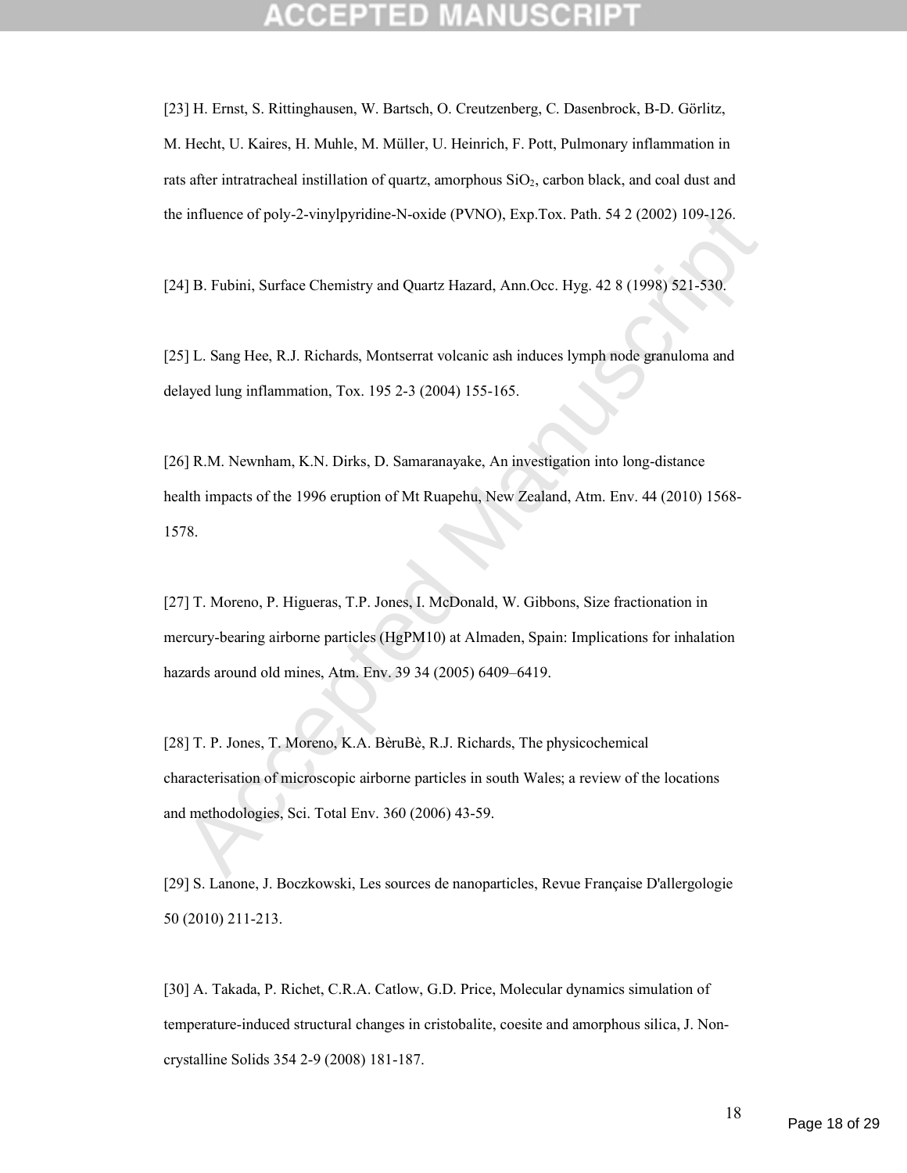[23] H. Ernst, S. Rittinghausen, W. Bartsch, O. Creutzenberg, C. Dasenbrock, B-D. Görlitz, M. Hecht, U. Kaires, H. Muhle, M. Müller, U. Heinrich, F. Pott, Pulmonary inflammation in rats after intratracheal instillation of quartz, amorphous  $SiO<sub>2</sub>$ , carbon black, and coal dust and the influence of poly-2-vinylpyridine-N-oxide (PVNO), Exp.Tox. Path. 54 2 (2002) 109-126.

[24] B. Fubini, Surface Chemistry and Quartz Hazard, Ann.Occ. Hyg. 42 8 (1998) 521-530.

[25] L. Sang Hee, R.J. Richards, Montserrat volcanic ash induces lymph node granuloma and delayed lung inflammation, Tox. 195 2-3 (2004) 155-165.

i influence of poly-2-vinylpyridine-N-oxide (PVNO), Exp.Tox. Path. 54 2 (2002) 109-126.<br>
4] B. Fubini, Surface Chemistry and Quartz Hazard, Ann Oce. Hyg. 42 8 (1998) 521-530.<br>
5] L. Sang Hee, R.J. Richards, Montserrat volc [26] R.M. Newnham, K.N. Dirks, D. Samaranayake, An investigation into long-distance health impacts of the 1996 eruption of Mt Ruapehu, New Zealand, Atm. Env. 44 (2010) 1568- 1578.

[27] T. Moreno, P. Higueras, T.P. Jones, I. McDonald, W. Gibbons, Size fractionation in mercury-bearing airborne particles (HgPM10) at Almaden, Spain: Implications for inhalation hazards around old mines, Atm. Env. 39 34 (2005) 6409–6419.

[28] T. P. Jones, T. Moreno, K.A. BèruBè, R.J. Richards, The physicochemical characterisation of microscopic airborne particles in south Wales; a review of the locations and methodologies, Sci. Total Env. 360 (2006) 43-59.

[29] S. Lanone, J. Boczkowski, Les sources de nanoparticles, Revue Française D'allergologie 50 (2010) 211-213.

[30] A. Takada, P. Richet, C.R.A. Catlow, G.D. Price, Molecular dynamics simulation of temperature-induced structural changes in cristobalite, coesite and amorphous silica, J. Noncrystalline Solids 354 2-9 (2008) 181-187.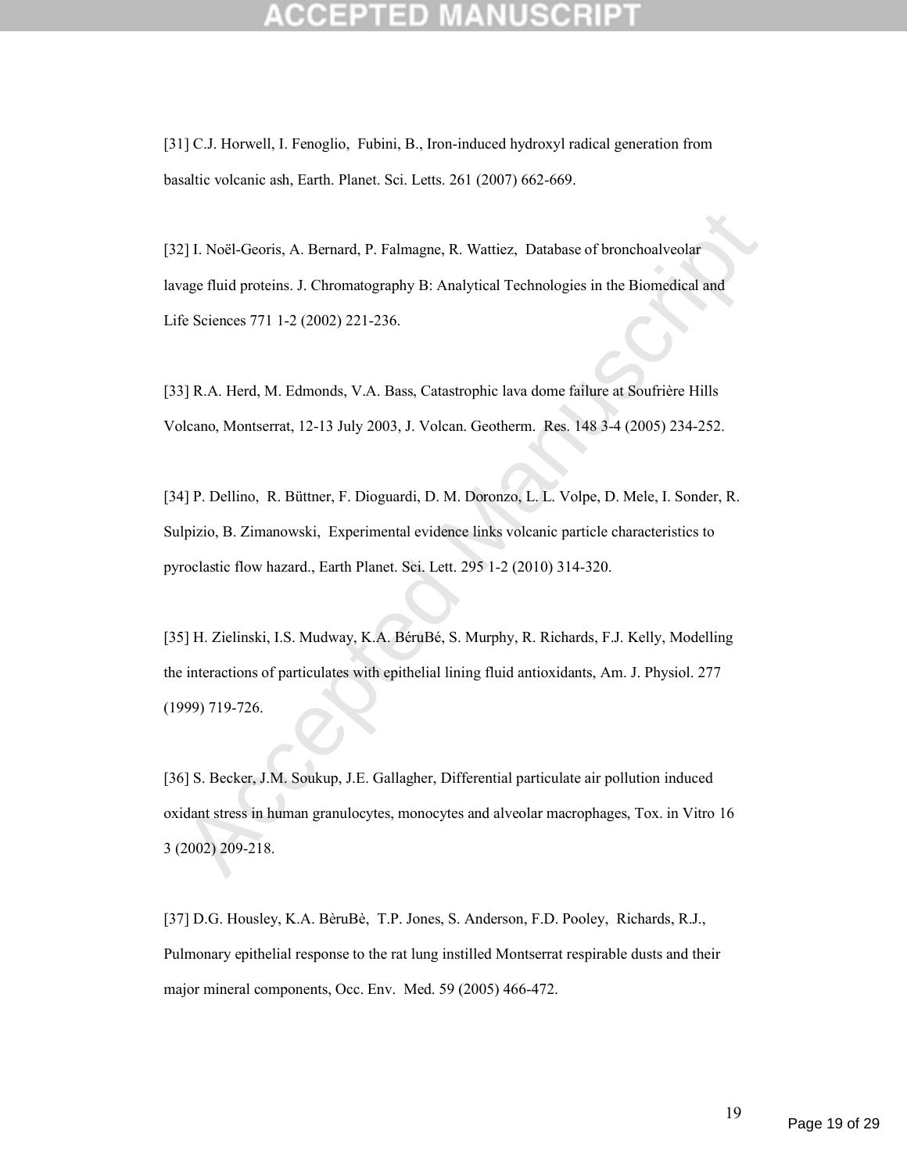[31] C.J. Horwell, I. Fenoglio, Fubini, B., Iron-induced hydroxyl radical generation from basaltic volcanic ash, Earth. Planet. Sci. Letts. 261 (2007) 662-669.

[32] I. Noël-Georis, A. Bernard, P. Falmagne, R. Wattiez, Database of bronchoalveolar lavage fluid proteins. J. Chromatography B: Analytical Technologies in the Biomedical and Life Sciences 771 1-2 (2002) 221-236.

[33] R.A. Herd, M. Edmonds, V.A. Bass, Catastrophic lava dome failure at Soufrière Hills Volcano, Montserrat, 12-13 July 2003, J. Volcan. Geotherm. Res. 148 3-4 (2005) 234-252.

[34] P. Dellino, R. Büttner, F. Dioguardi, D. M. Doronzo, L. L. Volpe, D. Mele, I. Sonder, R. Sulpizio, B. Zimanowski, Experimental evidence links volcanic particle characteristics to pyroclastic flow hazard., Earth Planet. Sci. Lett. 295 1-2 (2010) 314-320.

2] I. Noel-Georis, A. Bernard, P. Falmagne, R. Wattiez, Database of bronchoalveolar<br>vage fluid proteins. J. Chromatography B: Analytical Technologies in the Biomedical and<br>fe Sciences 771 1-2 (2002) 221-236.<br>
3] R.A. Herd, [35] H. Zielinski, I.S. Mudway, K.A. BéruBé, S. Murphy, R. Richards, F.J. Kelly, Modelling the interactions of particulates with epithelial lining fluid antioxidants, Am. J. Physiol. 277 (1999) 719-726.

[36] S. Becker, J.M. Soukup, J.E. Gallagher, Differential particulate air pollution induced oxidant stress in human granulocytes, monocytes and alveolar macrophages, Tox. in Vitro 16 3 (2002) 209-218.

[37] D.G. Housley, K.A. BèruBè, T.P. Jones, S. Anderson, F.D. Pooley, Richards, R.J., Pulmonary epithelial response to the rat lung instilled Montserrat respirable dusts and their major mineral components, Occ. Env. Med. 59 (2005) 466-472.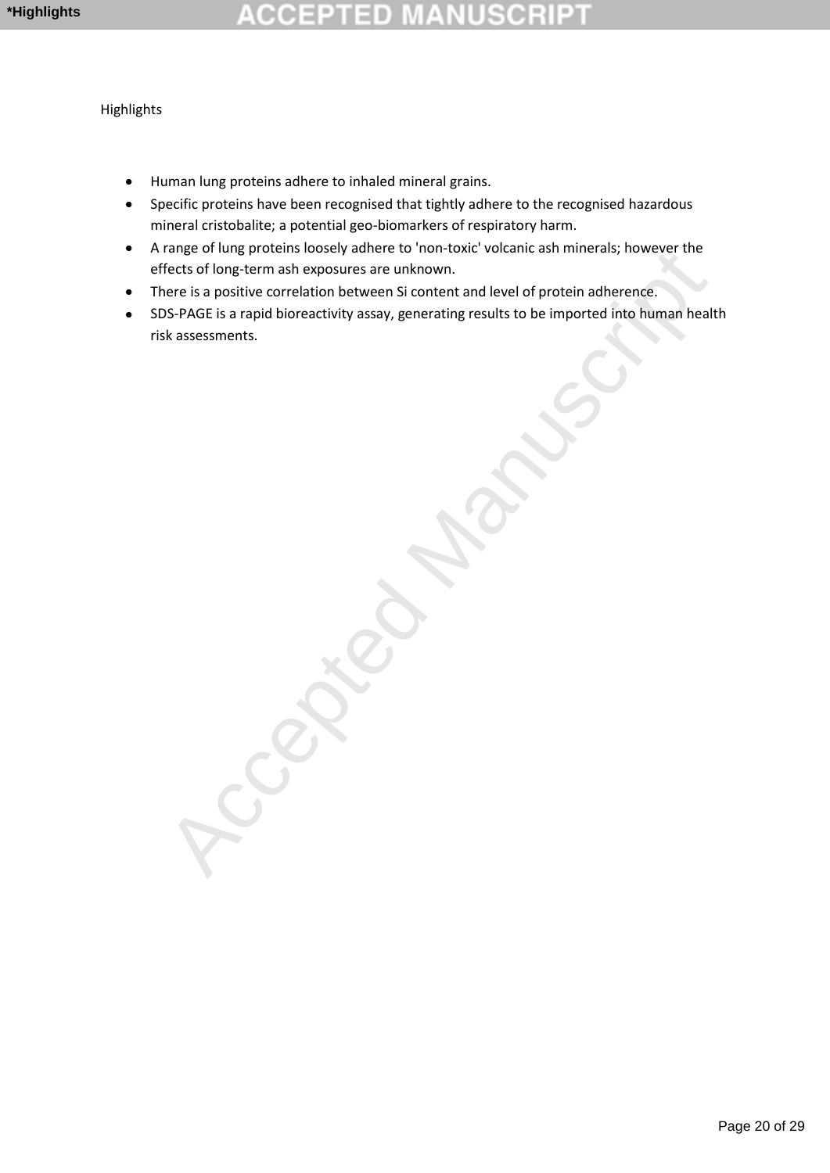# 라마

Highlights

- Human lung proteins adhere to inhaled mineral grains.  $\bullet$
- Specific proteins have been recognised that tightly adhere to the recognised hazardous mineral cristobalite; a potential geo-biomarkers of respiratory harm.
- A range of lung proteins loosely adhere to 'non-toxic' volcanic ash minerals; however the effects of long-term ash exposures are unknown.
- There is a positive correlation between Si content and level of protein adherence.
- ange on unig process to society annexe to non-toxic volcalitic ash immerats, inverse the metric of long-term ash exposures are unknown.<br>There is a positive correlation between Si content and level of protein adherence.<br>Ac SDS-PAGE is a rapid bioreactivity assay, generating results to be imported into human health  $\bullet$ risk assessments.

Page 20 of 29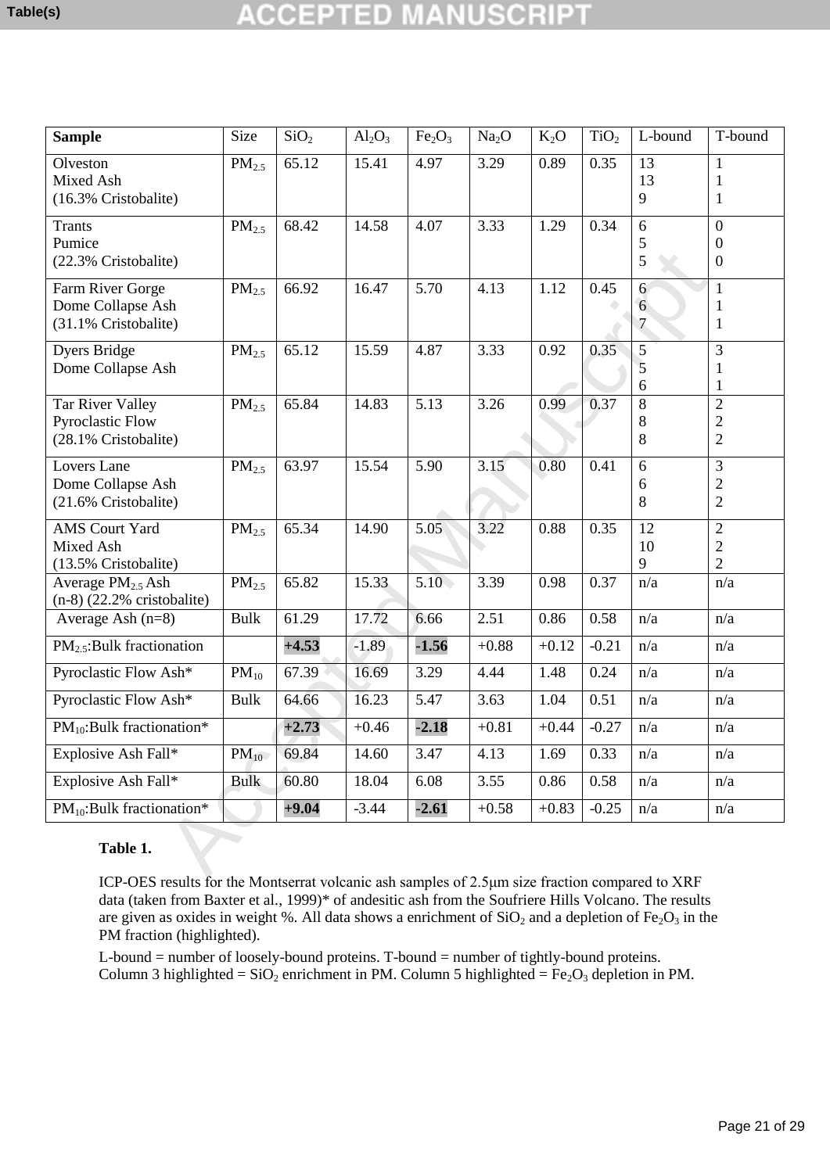## 10

| <b>Sample</b>                                                       | Size              | SiO <sub>2</sub> | $Al_2O_3$ | Fe <sub>2</sub> O <sub>3</sub> | Na <sub>2</sub> O | $K_2O$  | TiO <sub>2</sub> | L-bound                  | T-bound                                                  |
|---------------------------------------------------------------------|-------------------|------------------|-----------|--------------------------------|-------------------|---------|------------------|--------------------------|----------------------------------------------------------|
| Olveston<br>Mixed Ash<br>(16.3% Cristobalite)                       | PM <sub>2.5</sub> | 65.12            | 15.41     | 4.97                           | 3.29              | 0.89    | 0.35             | 13<br>13<br>9            | $\mathbf{1}$<br>$\mathbf{1}$<br>$\mathbf{1}$             |
| <b>Trants</b><br>Pumice<br>(22.3% Cristobalite)                     | PM <sub>2.5</sub> | 68.42            | 14.58     | 4.07                           | 3.33              | 1.29    | 0.34             | 6<br>$\mathfrak{S}$<br>5 | $\boldsymbol{0}$<br>$\boldsymbol{0}$<br>$\boldsymbol{0}$ |
| Farm River Gorge<br>Dome Collapse Ash<br>(31.1% Cristobalite)       | PM <sub>2.5</sub> | 66.92            | 16.47     | 5.70                           | 4.13              | 1.12    | 0.45             | 6<br>6<br>$\tau$         | $\mathbf{1}$<br>$\mathbf{1}$<br>$\mathbf{1}$             |
| <b>Dyers Bridge</b><br>Dome Collapse Ash                            | PM <sub>2.5</sub> | 65.12            | 15.59     | 4.87                           | 3.33              | 0.92    | 0.35             | $\sqrt{5}$<br>5<br>6     | 3<br>1<br>$\mathbf{1}$                                   |
| Tar River Valley<br><b>Pyroclastic Flow</b><br>(28.1% Cristobalite) | PM <sub>2.5</sub> | 65.84            | 14.83     | 5.13                           | 3.26              | 0.99    | 0.37             | 8<br>8<br>8              | $\overline{2}$<br>$\overline{c}$<br>$\overline{2}$       |
| Lovers Lane<br>Dome Collapse Ash<br>(21.6% Cristobalite)            | PM <sub>2.5</sub> | 63.97            | 15.54     | 5.90                           | 3.15              | 0.80    | 0.41             | 6<br>6<br>8              | 3<br>$\overline{c}$<br>$\overline{2}$                    |
| <b>AMS</b> Court Yard<br>Mixed Ash<br>(13.5% Cristobalite)          | PM <sub>2.5</sub> | 65.34            | 14.90     | 5.05                           | 3.22              | 0.88    | 0.35             | 12<br>10<br>9            | $\overline{2}$<br>$\boldsymbol{2}$<br>$\overline{2}$     |
| Average $PM2.5$ Ash<br>$(n-8)$ (22.2% cristobalite)                 | PM <sub>2.5</sub> | 65.82            | 15.33     | 5.10                           | 3.39              | 0.98    | 0.37             | n/a                      | n/a                                                      |
| Average Ash $(n=8)$                                                 | <b>Bulk</b>       | 61.29            | 17.72     | 6.66                           | 2.51              | 0.86    | 0.58             | n/a                      | n/a                                                      |
| $PM_{2.5}$ : Bulk fractionation                                     |                   | $+4.53$          | $-1.89$   | $-1.56$                        | $+0.88$           | $+0.12$ | $-0.21$          | n/a                      | n/a                                                      |
| Pyroclastic Flow Ash*                                               | $PM_{10}$         | 67.39            | 16.69     | 3.29                           | 4.44              | 1.48    | 0.24             | n/a                      | n/a                                                      |
| Pyroclastic Flow Ash*                                               | <b>Bulk</b>       | 64.66            | 16.23     | 5.47                           | 3.63              | 1.04    | 0.51             | n/a                      | n/a                                                      |
| $PM_{10}$ : Bulk fractionation*                                     |                   | $+2.73$          | $+0.46$   | $-2.18$                        | $+0.81$           | $+0.44$ | $-0.27$          | n/a                      | n/a                                                      |
| Explosive Ash Fall*                                                 | $PM_{10}$         | 69.84            | 14.60     | 3.47                           | 4.13              | 1.69    | 0.33             | n/a                      | n/a                                                      |
| Explosive Ash Fall*                                                 | <b>Bulk</b>       | 60.80            | 18.04     | 6.08                           | 3.55              | 0.86    | 0.58             | n/a                      | n/a                                                      |
| $PM_{10}$ : Bulk fractionation*                                     |                   | $+9.04$          | $-3.44$   | $-2.61$                        | $+0.58$           | $+0.83$ | $-0.25$          | n/a                      | n/a                                                      |
| Table 1.                                                            |                   |                  |           |                                |                   |         |                  |                          |                                                          |

### **Table 1.**

ICP-OES results for the Montserrat volcanic ash samples of 2.5μm size fraction compared to XRF data (taken from Baxter et al., 1999)\* of andesitic ash from the Soufriere Hills Volcano. The results are given as oxides in weight %. All data shows a enrichment of  $SiO_2$  and a depletion of  $Fe_2O_3$  in the PM fraction (highlighted).

L-bound = number of loosely-bound proteins. T-bound = number of tightly-bound proteins. Column 3 highlighted = SiO<sub>2</sub> enrichment in PM. Column 5 highlighted =  $Fe<sub>2</sub>O<sub>3</sub>$  depletion in PM.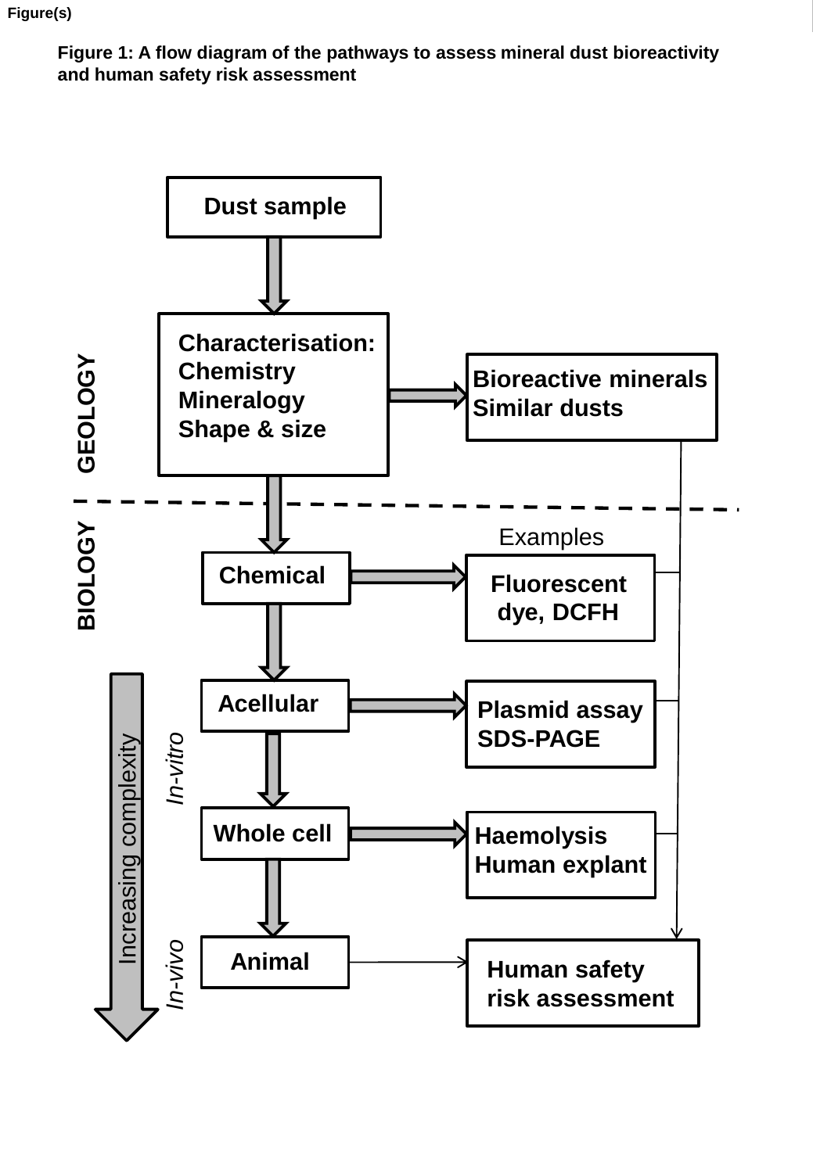**Figure 1: A flow diagram of the pathways to assess mineral dust bioreactivity and human safety risk assessment**

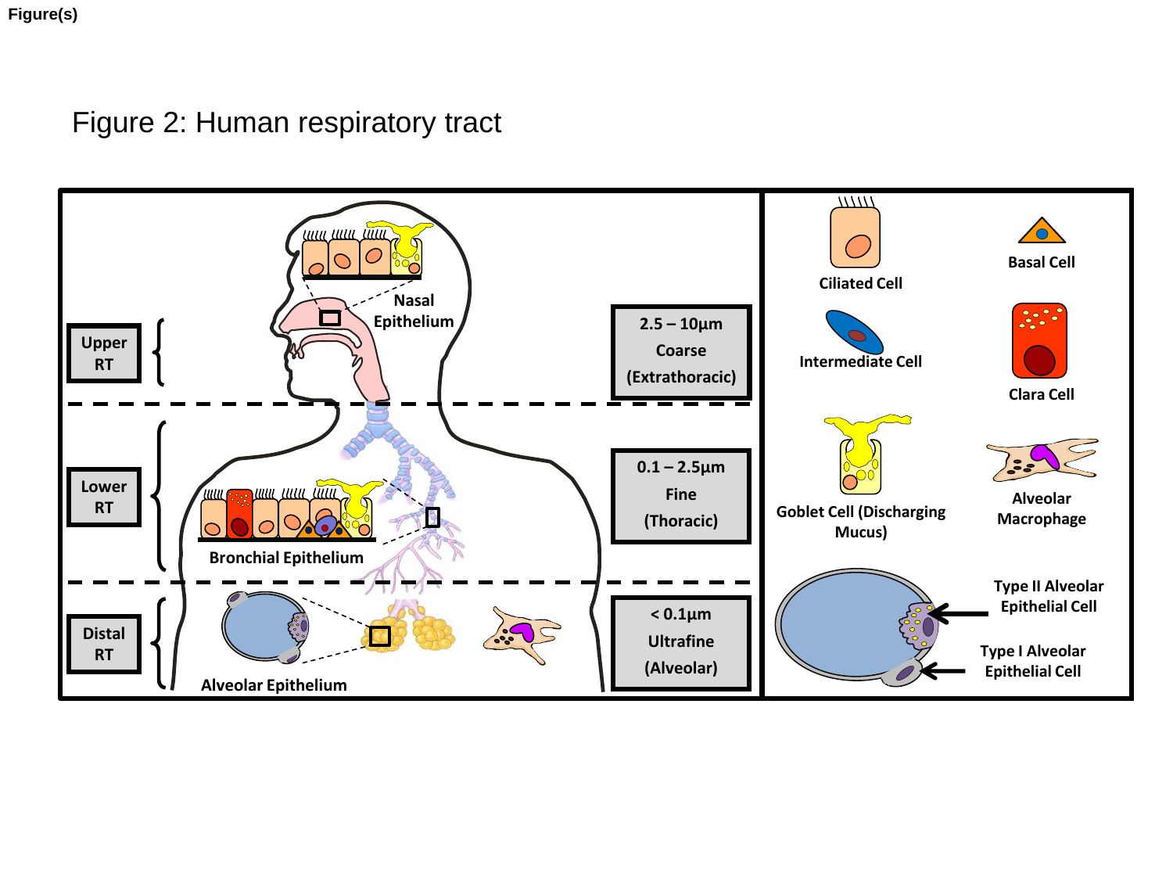**Figure(s)**

Figure 2: Human respiratory tract

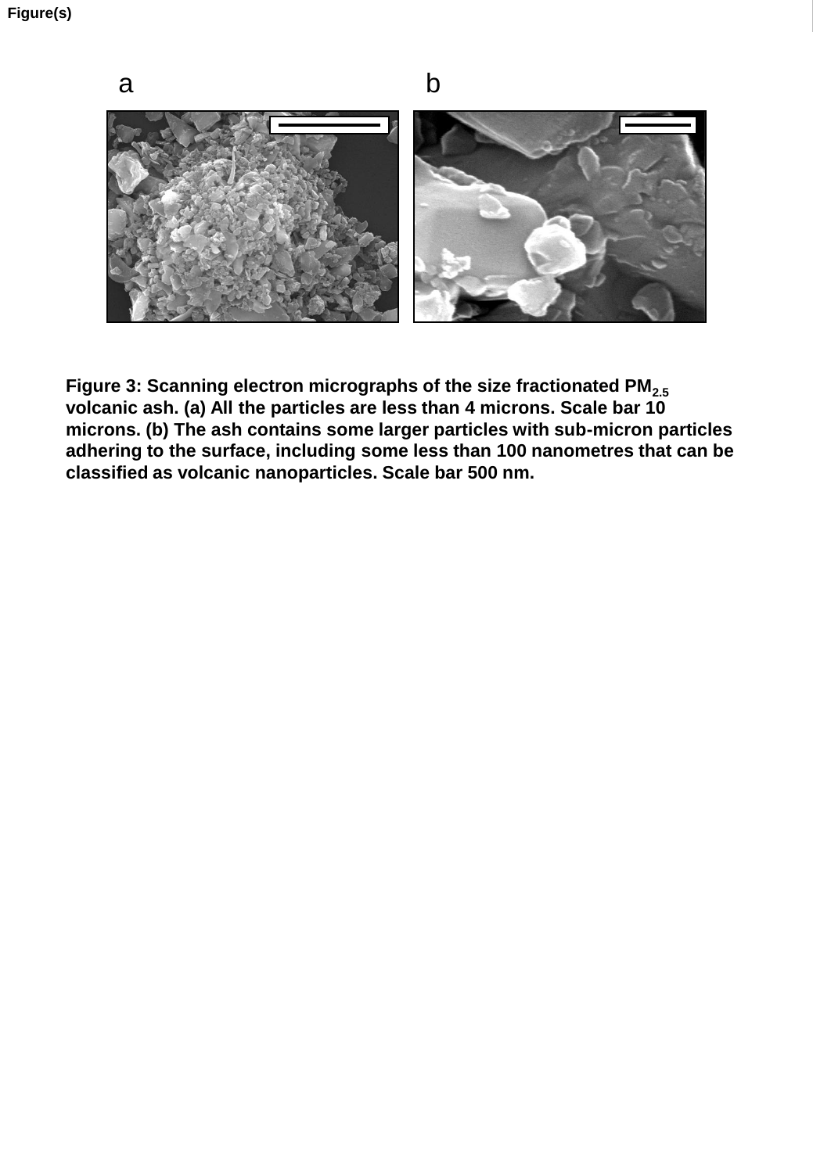

**Figure 3: Scanning electron micrographs of the size fractionated PM2.5 volcanic ash. (a) All the particles are less than 4 microns. Scale bar 10 microns. (b) The ash contains some larger particles with sub-micron particles adhering to the surface, including some less than 100 nanometres that can be classified as volcanic nanoparticles. Scale bar 500 nm.**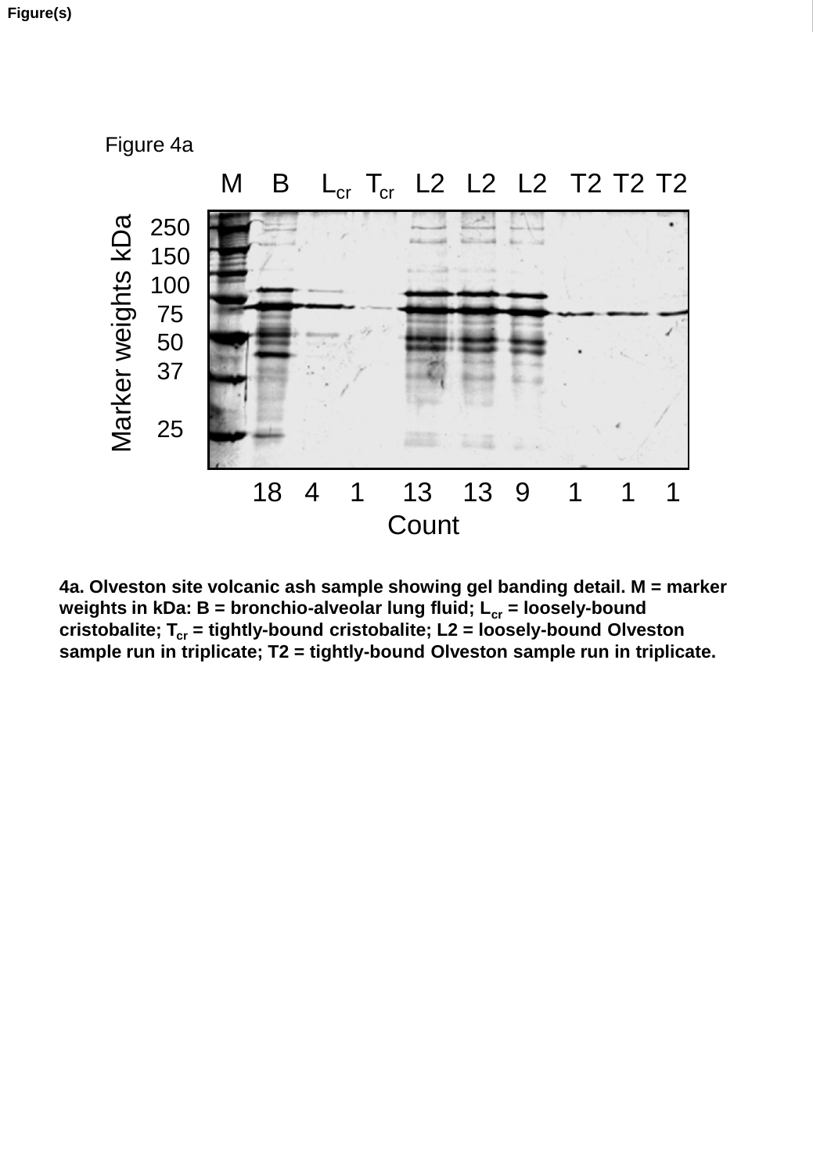![](_page_25_Figure_1.jpeg)

**4a. Olveston site volcanic ash sample showing gel banding detail. M = marker weights in kDa: B = bronchio-alveolar lung fluid; Lcr = loosely-bound cristobalite; Tcr = tightly-bound cristobalite; L2 = loosely-bound Olveston sample run in triplicate; T2 = tightly-bound Olveston sample run in triplicate.**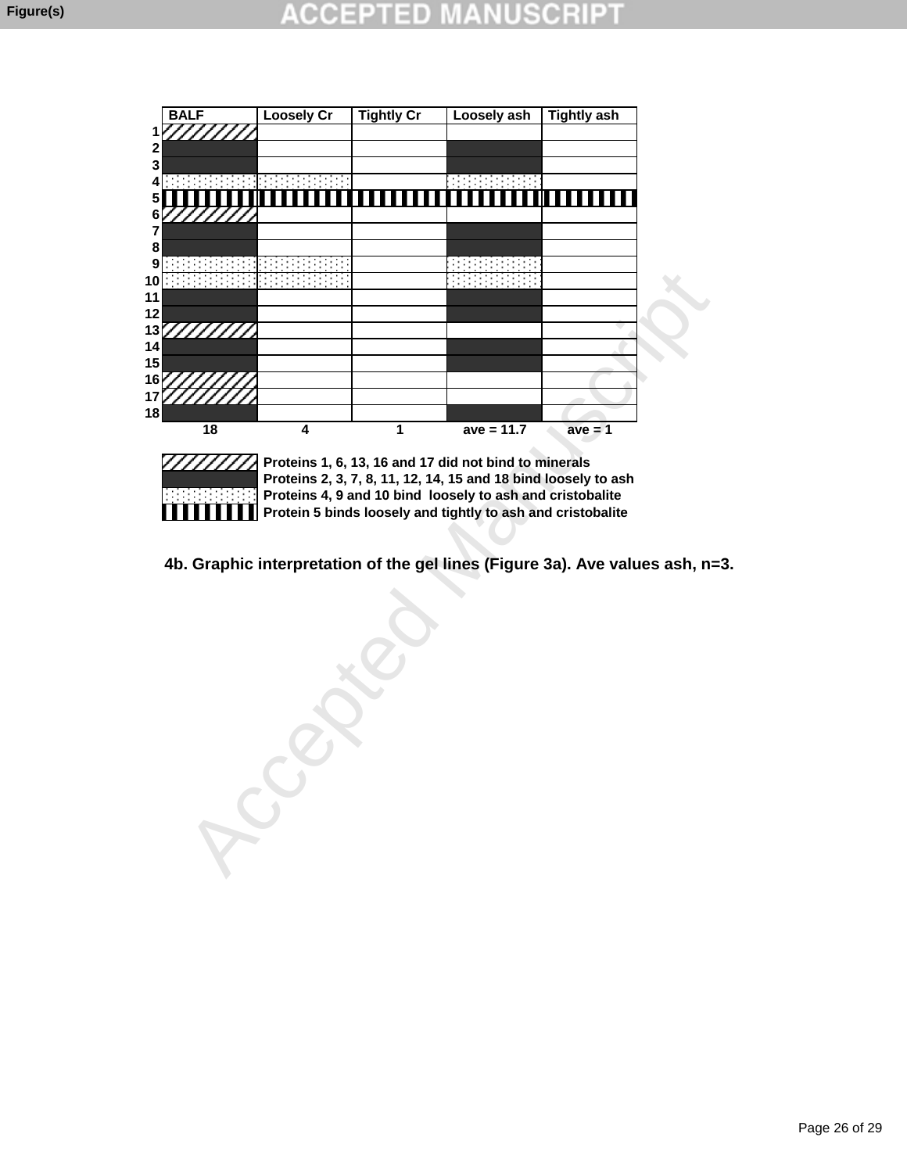![](_page_26_Figure_2.jpeg)

Ш

 **Proteins 1, 6, 13, 16 and 17 did not bind to minerals Proteins 2, 3, 7, 8, 11, 12, 14, 15 and 18 bind loosely to ash Proteins 4, 9 and 10 bind loosely to ash and cristobalite Protein 5 binds loosely and tightly to ash and cristobalite**

**4b. Graphic interpretation of the gel lines (Figure 3a). Ave values ash, n=3.**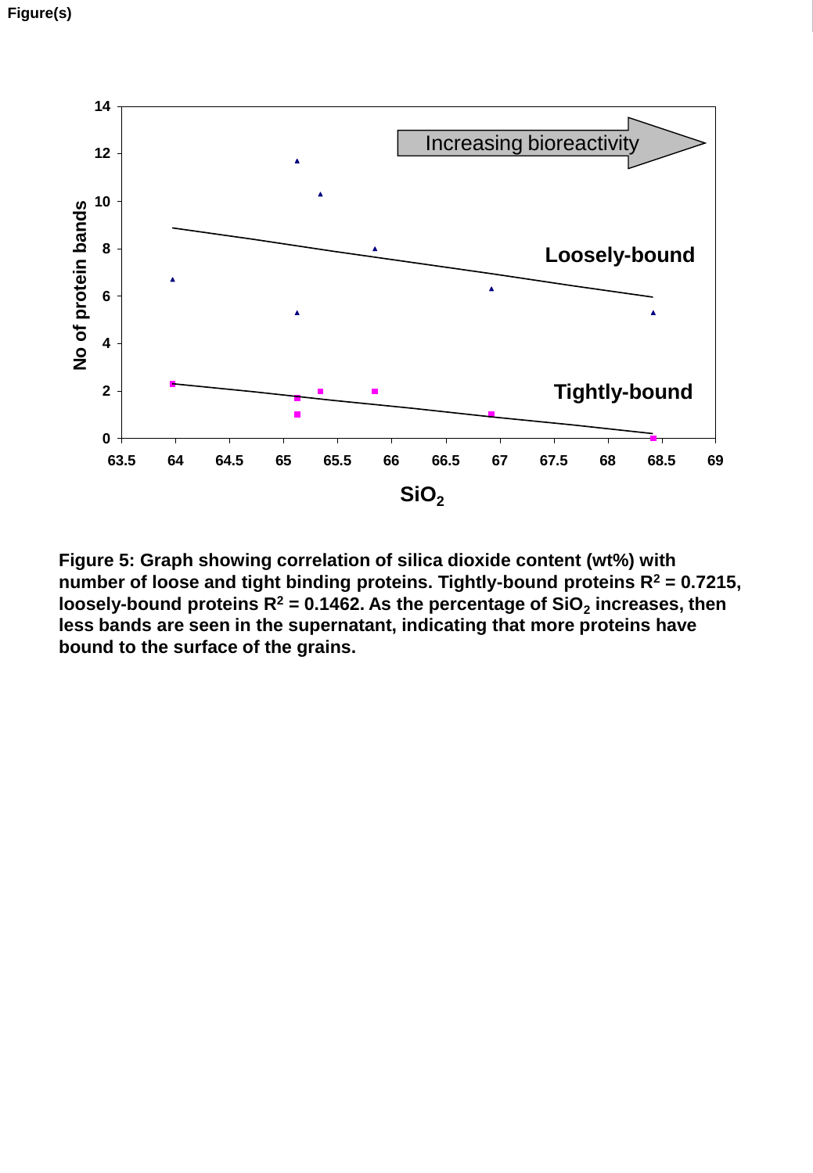![](_page_27_Figure_1.jpeg)

**Figure 5: Graph showing correlation of silica dioxide content (wt%) with number of loose and tight binding proteins. Tightly-bound proteins R<sup>2</sup> = 0.7215, loosely-bound proteins R<sup>2</sup> = 0.1462. As the percentage of SiO<sup>2</sup> increases, then less bands are seen in the supernatant, indicating that more proteins have bound to the surface of the grains.**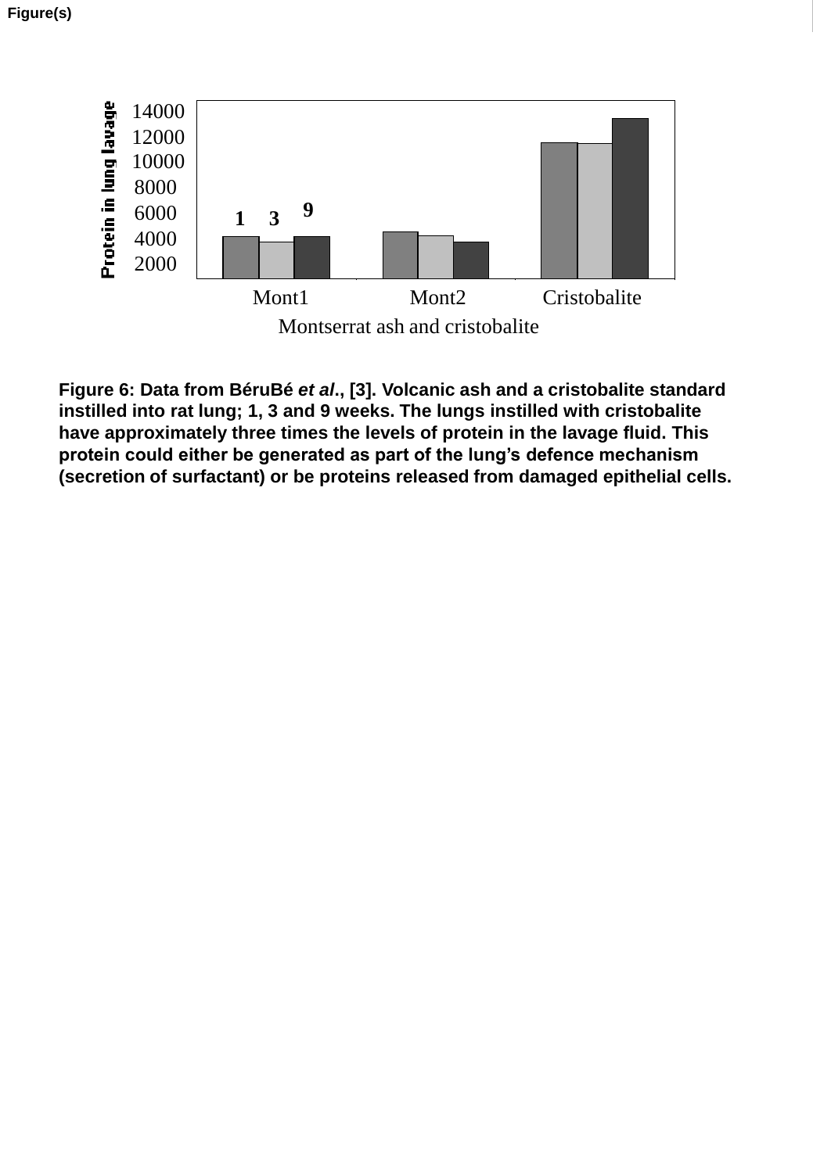![](_page_28_Figure_1.jpeg)

**Figure 6: Data from BéruBé** *et al***., [3]. Volcanic ash and a cristobalite standard instilled into rat lung; 1, 3 and 9 weeks. The lungs instilled with cristobalite have approximately three times the levels of protein in the lavage fluid. This protein could either be generated as part of the lung's defence mechanism (secretion of surfactant) or be proteins released from damaged epithelial cells.**